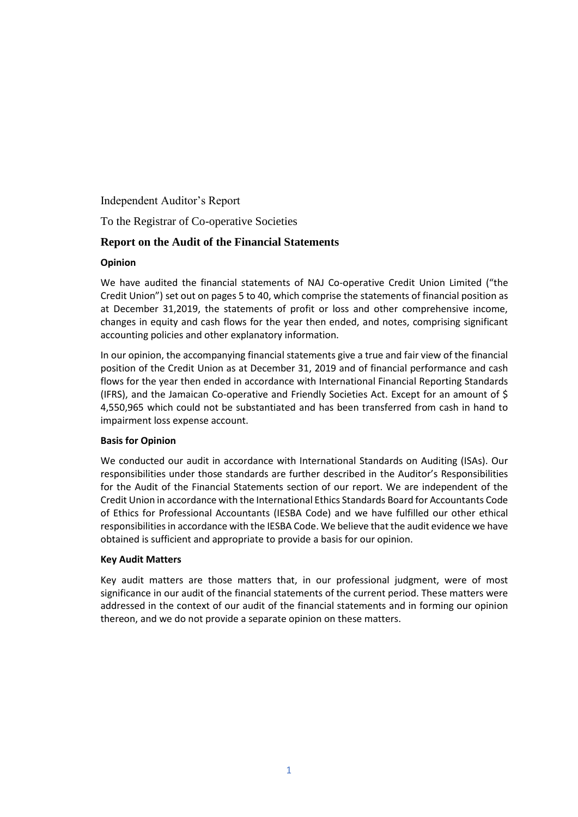Independent Auditor's Report

To the Registrar of Co-operative Societies

# **Report on the Audit of the Financial Statements**

#### **Opinion**

We have audited the financial statements of NAJ Co-operative Credit Union Limited ("the Credit Union") set out on pages 5 to 40, which comprise the statements of financial position as at December 31,2019, the statements of profit or loss and other comprehensive income, changes in equity and cash flows for the year then ended, and notes, comprising significant accounting policies and other explanatory information.

In our opinion, the accompanying financial statements give a true and fair view of the financial position of the Credit Union as at December 31, 2019 and of financial performance and cash flows for the year then ended in accordance with International Financial Reporting Standards (IFRS), and the Jamaican Co-operative and Friendly Societies Act. Except for an amount of \$ 4,550,965 which could not be substantiated and has been transferred from cash in hand to impairment loss expense account.

### **Basis for Opinion**

We conducted our audit in accordance with International Standards on Auditing (ISAs). Our responsibilities under those standards are further described in the Auditor's Responsibilities for the Audit of the Financial Statements section of our report. We are independent of the Credit Union in accordance with the International Ethics Standards Board for Accountants Code of Ethics for Professional Accountants (IESBA Code) and we have fulfilled our other ethical responsibilities in accordance with the IESBA Code. We believe that the audit evidence we have obtained is sufficient and appropriate to provide a basis for our opinion.

### **Key Audit Matters**

Key audit matters are those matters that, in our professional judgment, were of most significance in our audit of the financial statements of the current period. These matters were addressed in the context of our audit of the financial statements and in forming our opinion thereon, and we do not provide a separate opinion on these matters.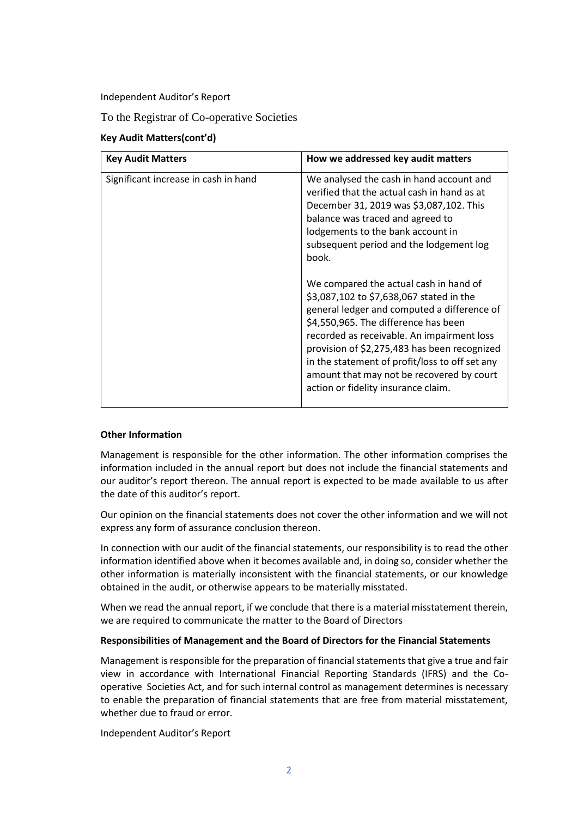Independent Auditor's Report

To the Registrar of Co-operative Societies

### **Key Audit Matters(cont'd)**

| <b>Key Audit Matters</b>             | How we addressed key audit matters                                                                                                                                                                                                                                                                                                                                                                                                                                                                                                                                                                                                                                               |
|--------------------------------------|----------------------------------------------------------------------------------------------------------------------------------------------------------------------------------------------------------------------------------------------------------------------------------------------------------------------------------------------------------------------------------------------------------------------------------------------------------------------------------------------------------------------------------------------------------------------------------------------------------------------------------------------------------------------------------|
| Significant increase in cash in hand | We analysed the cash in hand account and<br>verified that the actual cash in hand as at<br>December 31, 2019 was \$3,087,102. This<br>balance was traced and agreed to<br>lodgements to the bank account in<br>subsequent period and the lodgement log<br>book.<br>We compared the actual cash in hand of<br>\$3,087,102 to \$7,638,067 stated in the<br>general ledger and computed a difference of<br>\$4,550,965. The difference has been<br>recorded as receivable. An impairment loss<br>provision of \$2,275,483 has been recognized<br>in the statement of profit/loss to off set any<br>amount that may not be recovered by court<br>action or fidelity insurance claim. |

#### **Other Information**

Management is responsible for the other information. The other information comprises the information included in the annual report but does not include the financial statements and our auditor's report thereon. The annual report is expected to be made available to us after the date of this auditor's report.

Our opinion on the financial statements does not cover the other information and we will not express any form of assurance conclusion thereon.

In connection with our audit of the financial statements, our responsibility is to read the other information identified above when it becomes available and, in doing so, consider whether the other information is materially inconsistent with the financial statements, or our knowledge obtained in the audit, or otherwise appears to be materially misstated.

When we read the annual report, if we conclude that there is a material misstatement therein, we are required to communicate the matter to the Board of Directors

#### **Responsibilities of Management and the Board of Directors for the Financial Statements**

Management is responsible for the preparation of financial statements that give a true and fair view in accordance with International Financial Reporting Standards (IFRS) and the Cooperative Societies Act, and for such internal control as management determines is necessary to enable the preparation of financial statements that are free from material misstatement, whether due to fraud or error.

Independent Auditor's Report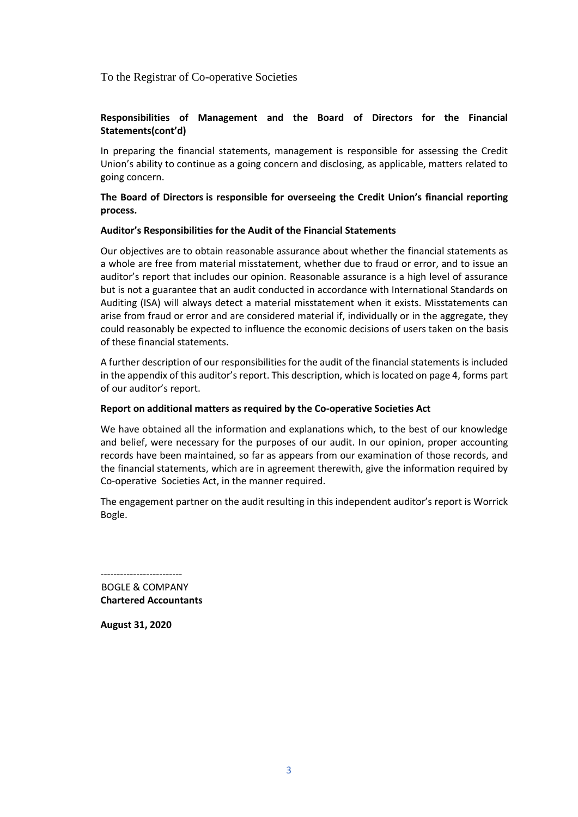To the Registrar of Co-operative Societies

### **Responsibilities of Management and the Board of Directors for the Financial Statements(cont'd)**

In preparing the financial statements, management is responsible for assessing the Credit Union's ability to continue as a going concern and disclosing, as applicable, matters related to going concern.

#### **The Board of Directors is responsible for overseeing the Credit Union's financial reporting process.**

#### **Auditor's Responsibilities for the Audit of the Financial Statements**

Our objectives are to obtain reasonable assurance about whether the financial statements as a whole are free from material misstatement, whether due to fraud or error, and to issue an auditor's report that includes our opinion. Reasonable assurance is a high level of assurance but is not a guarantee that an audit conducted in accordance with International Standards on Auditing (ISA) will always detect a material misstatement when it exists. Misstatements can arise from fraud or error and are considered material if, individually or in the aggregate, they could reasonably be expected to influence the economic decisions of users taken on the basis of these financial statements.

A further description of our responsibilities for the audit of the financial statements is included in the appendix of this auditor's report. This description, which is located on page 4, forms part of our auditor's report.

#### **Report on additional matters as required by the Co-operative Societies Act**

We have obtained all the information and explanations which, to the best of our knowledge and belief, were necessary for the purposes of our audit. In our opinion, proper accounting records have been maintained, so far as appears from our examination of those records, and the financial statements, which are in agreement therewith, give the information required by Co-operative Societies Act, in the manner required.

The engagement partner on the audit resulting in this independent auditor's report is Worrick Bogle.

------------------------- BOGLE & COMPANY **Chartered Accountants**

**August 31, 2020**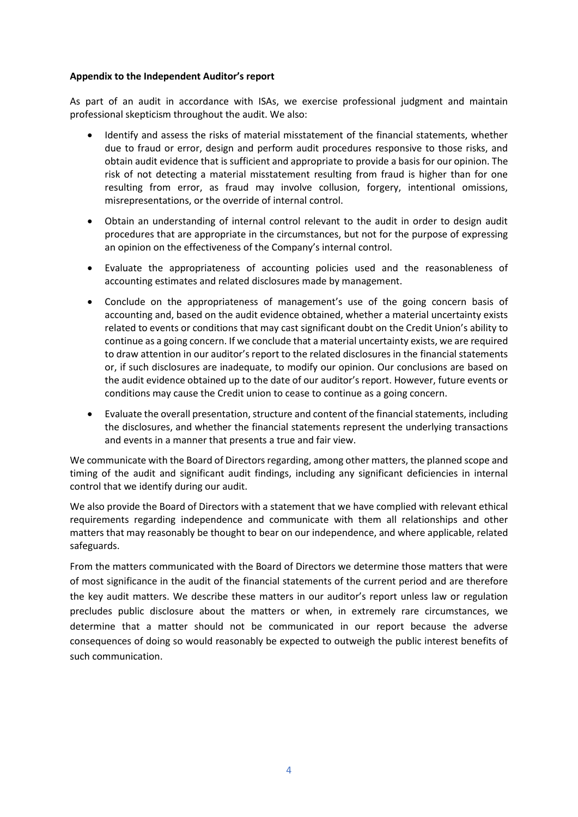#### **Appendix to the Independent Auditor's report**

As part of an audit in accordance with ISAs, we exercise professional judgment and maintain professional skepticism throughout the audit. We also:

- Identify and assess the risks of material misstatement of the financial statements, whether due to fraud or error, design and perform audit procedures responsive to those risks, and obtain audit evidence that is sufficient and appropriate to provide a basis for our opinion. The risk of not detecting a material misstatement resulting from fraud is higher than for one resulting from error, as fraud may involve collusion, forgery, intentional omissions, misrepresentations, or the override of internal control.
- Obtain an understanding of internal control relevant to the audit in order to design audit procedures that are appropriate in the circumstances, but not for the purpose of expressing an opinion on the effectiveness of the Company's internal control.
- Evaluate the appropriateness of accounting policies used and the reasonableness of accounting estimates and related disclosures made by management.
- Conclude on the appropriateness of management's use of the going concern basis of accounting and, based on the audit evidence obtained, whether a material uncertainty exists related to events or conditions that may cast significant doubt on the Credit Union's ability to continue as a going concern. If we conclude that a material uncertainty exists, we are required to draw attention in our auditor's report to the related disclosures in the financial statements or, if such disclosures are inadequate, to modify our opinion. Our conclusions are based on the audit evidence obtained up to the date of our auditor's report. However, future events or conditions may cause the Credit union to cease to continue as a going concern.
- Evaluate the overall presentation, structure and content of the financial statements, including the disclosures, and whether the financial statements represent the underlying transactions and events in a manner that presents a true and fair view.

We communicate with the Board of Directors regarding, among other matters, the planned scope and timing of the audit and significant audit findings, including any significant deficiencies in internal control that we identify during our audit.

We also provide the Board of Directors with a statement that we have complied with relevant ethical requirements regarding independence and communicate with them all relationships and other matters that may reasonably be thought to bear on our independence, and where applicable, related safeguards.

From the matters communicated with the Board of Directors we determine those matters that were of most significance in the audit of the financial statements of the current period and are therefore the key audit matters. We describe these matters in our auditor's report unless law or regulation precludes public disclosure about the matters or when, in extremely rare circumstances, we determine that a matter should not be communicated in our report because the adverse consequences of doing so would reasonably be expected to outweigh the public interest benefits of such communication.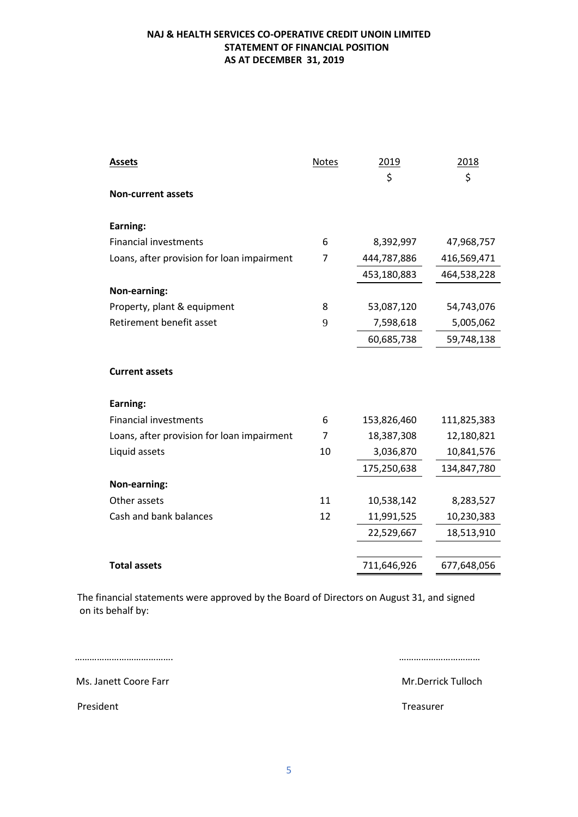### **NAJ & HEALTH SERVICES CO-OPERATIVE CREDIT UNOIN LIMITED STATEMENT OF FINANCIAL POSITION AS AT DECEMBER 31, 2019**

| <b>Assets</b>                              | <b>Notes</b> | 2019<br>\$  | 2018<br>\$  |
|--------------------------------------------|--------------|-------------|-------------|
| <b>Non-current assets</b>                  |              |             |             |
| Earning:                                   |              |             |             |
| <b>Financial investments</b>               | 6            | 8,392,997   | 47,968,757  |
| Loans, after provision for loan impairment | 7            | 444,787,886 | 416,569,471 |
|                                            |              | 453,180,883 | 464,538,228 |
| Non-earning:                               |              |             |             |
| Property, plant & equipment                | 8            | 53,087,120  | 54,743,076  |
| Retirement benefit asset                   | 9            | 7,598,618   | 5,005,062   |
|                                            |              | 60,685,738  | 59,748,138  |
|                                            |              |             |             |
| <b>Current assets</b>                      |              |             |             |
| Earning:                                   |              |             |             |
| <b>Financial investments</b>               | 6            | 153,826,460 | 111,825,383 |
| Loans, after provision for loan impairment | 7            | 18,387,308  | 12,180,821  |
| Liquid assets                              | 10           | 3,036,870   | 10,841,576  |
|                                            |              | 175,250,638 | 134,847,780 |
| Non-earning:                               |              |             |             |
| Other assets                               | 11           | 10,538,142  | 8,283,527   |
| Cash and bank balances                     | 12           | 11,991,525  | 10,230,383  |
|                                            |              | 22,529,667  | 18,513,910  |
|                                            |              |             |             |
| <b>Total assets</b>                        |              | 711,646,926 | 677,648,056 |

 The financial statements were approved by the Board of Directors on August 31, and signed on its behalf by:

…………………………………. ……………………………

Ms. Janett Coore Farr Mr.Derrick Tulloch

PresidentTreasurer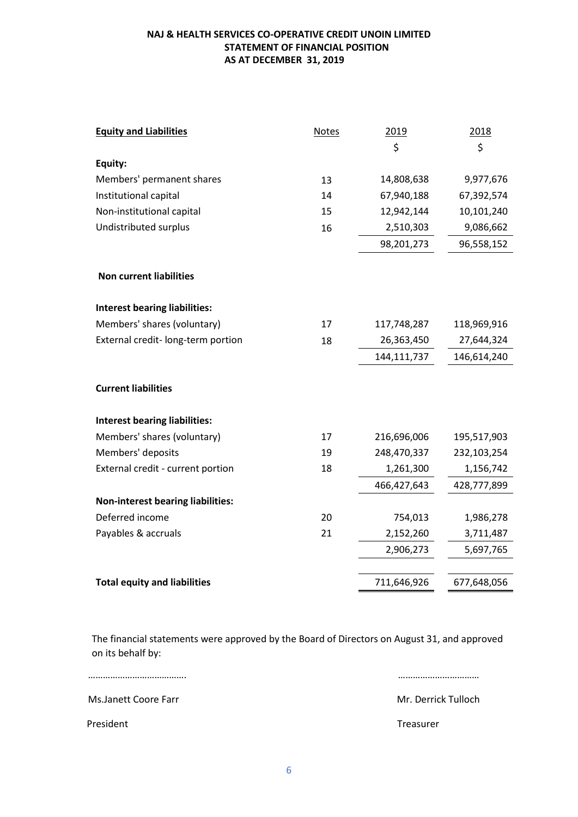### **NAJ & HEALTH SERVICES CO-OPERATIVE CREDIT UNOIN LIMITED STATEMENT OF FINANCIAL POSITION AS AT DECEMBER 31, 2019**

| <b>Equity and Liabilities</b>            | <b>Notes</b> | 2019        | 2018        |
|------------------------------------------|--------------|-------------|-------------|
|                                          |              | \$          | \$          |
| Equity:                                  |              |             |             |
| Members' permanent shares                | 13           | 14,808,638  | 9,977,676   |
| Institutional capital                    | 14           | 67,940,188  | 67,392,574  |
| Non-institutional capital                | 15           | 12,942,144  | 10,101,240  |
| Undistributed surplus                    | 16           | 2,510,303   | 9,086,662   |
|                                          |              | 98,201,273  | 96,558,152  |
| <b>Non current liabilities</b>           |              |             |             |
| <b>Interest bearing liabilities:</b>     |              |             |             |
| Members' shares (voluntary)              | 17           | 117,748,287 | 118,969,916 |
| External credit- long-term portion       | 18           | 26,363,450  | 27,644,324  |
|                                          |              | 144,111,737 | 146,614,240 |
| <b>Current liabilities</b>               |              |             |             |
| <b>Interest bearing liabilities:</b>     |              |             |             |
| Members' shares (voluntary)              | 17           | 216,696,006 | 195,517,903 |
| Members' deposits                        | 19           | 248,470,337 | 232,103,254 |
| External credit - current portion        | 18           | 1,261,300   | 1,156,742   |
|                                          |              | 466,427,643 | 428,777,899 |
| <b>Non-interest bearing liabilities:</b> |              |             |             |
| Deferred income                          | 20           | 754,013     | 1,986,278   |
| Payables & accruals                      | 21           | 2,152,260   | 3,711,487   |
|                                          |              | 2,906,273   | 5,697,765   |
|                                          |              |             |             |
| <b>Total equity and liabilities</b>      |              | 711,646,926 | 677,648,056 |

The financial statements were approved by the Board of Directors on August 31, and approved on its behalf by:

…………………………………. ……………………………

Ms.Janett Coore Farr Mateur Mr. Derrick Tulloch

PresidentTreasurer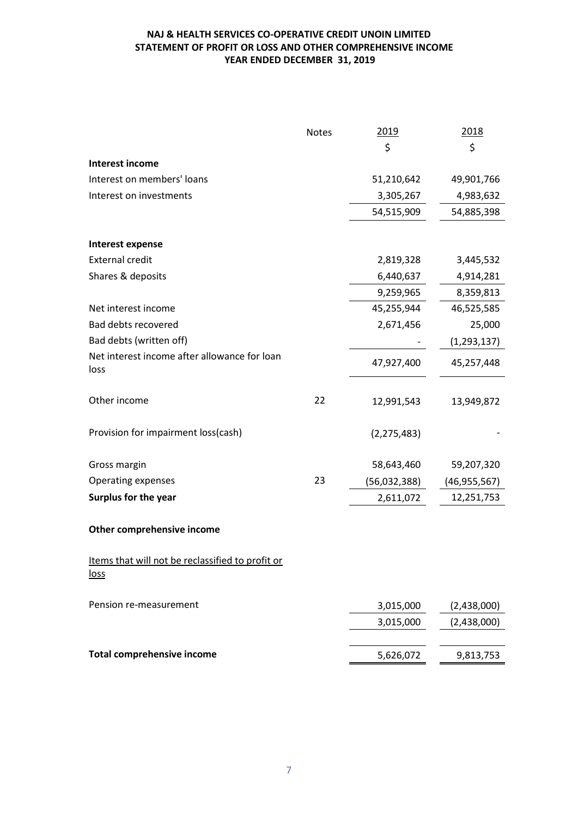### **NAJ & HEALTH SERVICES CO-OPERATIVE CREDIT UNOIN LIMITED STATEMENT OF PROFIT OR LOSS AND OTHER COMPREHENSIVE INCOME YEAR ENDED DECEMBER 31, 2019**

|                                                                 | <b>Notes</b> | 2019          | 2018           |
|-----------------------------------------------------------------|--------------|---------------|----------------|
|                                                                 |              | \$            | \$             |
| Interest income                                                 |              |               |                |
| Interest on members' loans                                      |              | 51,210,642    | 49,901,766     |
| Interest on investments                                         |              | 3,305,267     | 4,983,632      |
|                                                                 |              | 54,515,909    | 54,885,398     |
| Interest expense                                                |              |               |                |
| <b>External credit</b>                                          |              | 2,819,328     | 3,445,532      |
| Shares & deposits                                               |              | 6,440,637     | 4,914,281      |
|                                                                 |              | 9,259,965     | 8,359,813      |
| Net interest income                                             |              | 45,255,944    | 46,525,585     |
| <b>Bad debts recovered</b>                                      |              | 2,671,456     | 25,000         |
| Bad debts (written off)                                         |              |               | (1, 293, 137)  |
| Net interest income after allowance for loan<br>loss            |              | 47,927,400    | 45,257,448     |
| Other income                                                    | 22           | 12,991,543    | 13,949,872     |
| Provision for impairment loss(cash)                             |              | (2, 275, 483) |                |
| Gross margin                                                    |              | 58,643,460    | 59,207,320     |
| <b>Operating expenses</b>                                       | 23           | (56,032,388)  | (46, 955, 567) |
| Surplus for the year                                            |              | 2,611,072     | 12,251,753     |
| Other comprehensive income                                      |              |               |                |
| Items that will not be reclassified to profit or<br><u>loss</u> |              |               |                |
| Pension re-measurement                                          |              | 3,015,000     | (2,438,000)    |
|                                                                 |              | 3,015,000     | (2,438,000)    |
| <b>Total comprehensive income</b>                               |              |               |                |
|                                                                 |              | 5,626,072     | 9,813,753      |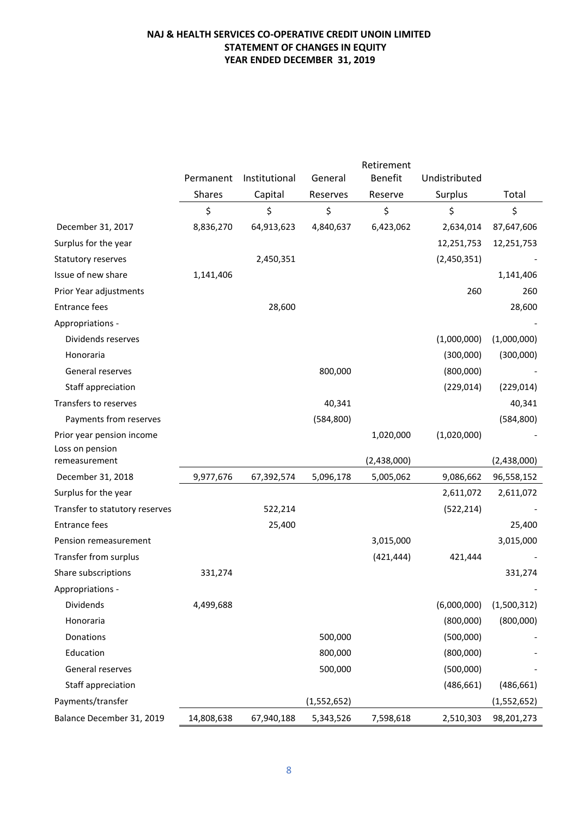# **NAJ & HEALTH SERVICES CO-OPERATIVE CREDIT UNOIN LIMITED STATEMENT OF CHANGES IN EQUITY YEAR ENDED DECEMBER 31, 2019**

|                                  |           |               |             | Retirement     |               |             |
|----------------------------------|-----------|---------------|-------------|----------------|---------------|-------------|
|                                  | Permanent | Institutional | General     | <b>Benefit</b> | Undistributed |             |
|                                  | Shares    | Capital       | Reserves    | Reserve        | Surplus       | Total       |
|                                  | \$        | \$            | \$          | \$             | \$            | \$          |
| December 31, 2017                | 8,836,270 | 64,913,623    | 4,840,637   | 6,423,062      | 2,634,014     | 87,647,606  |
| Surplus for the year             |           |               |             |                | 12,251,753    | 12,251,753  |
| Statutory reserves               |           | 2,450,351     |             |                | (2,450,351)   |             |
| Issue of new share               | 1,141,406 |               |             |                |               | 1,141,406   |
| Prior Year adjustments           |           |               |             |                | 260           | 260         |
| <b>Entrance fees</b>             |           | 28,600        |             |                |               | 28,600      |
| Appropriations -                 |           |               |             |                |               |             |
| Dividends reserves               |           |               |             |                | (1,000,000)   | (1,000,000) |
| Honoraria                        |           |               |             |                | (300,000)     | (300,000)   |
| General reserves                 |           |               | 800,000     |                | (800,000)     |             |
| Staff appreciation               |           |               |             |                | (229, 014)    | (229, 014)  |
| Transfers to reserves            |           |               | 40,341      |                |               | 40,341      |
| Payments from reserves           |           |               | (584, 800)  |                |               | (584, 800)  |
| Prior year pension income        |           |               |             | 1,020,000      | (1,020,000)   |             |
| Loss on pension<br>remeasurement |           |               |             | (2,438,000)    |               | (2,438,000) |
| December 31, 2018                | 9,977,676 | 67,392,574    | 5,096,178   | 5,005,062      | 9,086,662     | 96,558,152  |
| Surplus for the year             |           |               |             |                | 2,611,072     | 2,611,072   |
| Transfer to statutory reserves   |           | 522,214       |             |                | (522, 214)    |             |
| <b>Entrance fees</b>             |           |               |             |                |               |             |
|                                  |           | 25,400        |             |                |               | 25,400      |
| Pension remeasurement            |           |               |             | 3,015,000      |               | 3,015,000   |
| Transfer from surplus            |           |               |             | (421, 444)     | 421,444       |             |
| Share subscriptions              | 331,274   |               |             |                |               | 331,274     |
| Appropriations -                 |           |               |             |                |               |             |
| Dividends                        | 4,499,688 |               |             |                | (6,000,000)   | (1,500,312) |
| Honoraria                        |           |               |             |                | (800,000)     | (800,000)   |
| Donations                        |           |               | 500,000     |                | (500,000)     |             |
| Education                        |           |               | 800,000     |                | (800,000)     |             |
| General reserves                 |           |               | 500,000     |                | (500,000)     |             |
| Staff appreciation               |           |               |             |                | (486, 661)    | (486, 661)  |
| Payments/transfer                |           |               | (1,552,652) |                |               | (1,552,652) |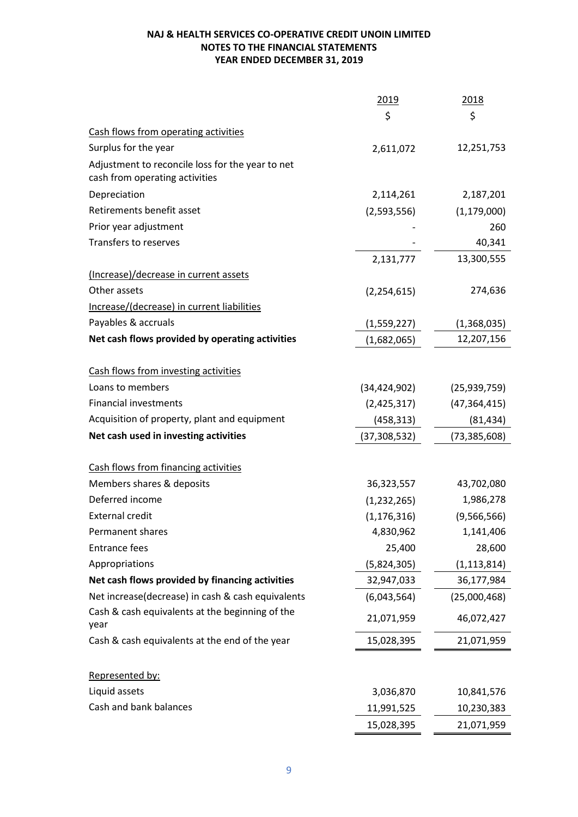|                                                                                    | 2019           | 2018           |
|------------------------------------------------------------------------------------|----------------|----------------|
|                                                                                    | \$             | \$             |
| Cash flows from operating activities                                               |                |                |
| Surplus for the year                                                               | 2,611,072      | 12,251,753     |
| Adjustment to reconcile loss for the year to net<br>cash from operating activities |                |                |
| Depreciation                                                                       | 2,114,261      | 2,187,201      |
| Retirements benefit asset                                                          | (2,593,556)    | (1, 179, 000)  |
| Prior year adjustment                                                              |                | 260            |
| Transfers to reserves                                                              |                | 40,341         |
|                                                                                    | 2,131,777      | 13,300,555     |
| (Increase)/decrease in current assets                                              |                |                |
| Other assets                                                                       | (2, 254, 615)  | 274,636        |
| Increase/(decrease) in current liabilities                                         |                |                |
| Payables & accruals                                                                | (1,559,227)    | (1,368,035)    |
| Net cash flows provided by operating activities                                    | (1,682,065)    | 12,207,156     |
|                                                                                    |                |                |
| Cash flows from investing activities                                               |                |                |
| Loans to members                                                                   | (34, 424, 902) | (25, 939, 759) |
| <b>Financial investments</b>                                                       | (2,425,317)    | (47, 364, 415) |
| Acquisition of property, plant and equipment                                       | (458, 313)     | (81, 434)      |
| Net cash used in investing activities                                              | (37,308,532)   | (73, 385, 608) |
|                                                                                    |                |                |
| Cash flows from financing activities                                               |                |                |
| Members shares & deposits                                                          | 36,323,557     | 43,702,080     |
| Deferred income                                                                    | (1, 232, 265)  | 1,986,278      |
| <b>External credit</b>                                                             | (1, 176, 316)  | (9,566,566)    |
| Permanent shares                                                                   | 4,830,962      | 1,141,406      |
| <b>Entrance fees</b>                                                               | 25,400         | 28,600         |
| Appropriations                                                                     | (5,824,305)    | (1, 113, 814)  |
| Net cash flows provided by financing activities                                    | 32,947,033     | 36,177,984     |
| Net increase(decrease) in cash & cash equivalents                                  | (6,043,564)    | (25,000,468)   |
| Cash & cash equivalents at the beginning of the<br>year                            | 21,071,959     | 46,072,427     |
| Cash & cash equivalents at the end of the year                                     | 15,028,395     | 21,071,959     |
| Represented by:                                                                    |                |                |
| Liquid assets                                                                      | 3,036,870      | 10,841,576     |
| Cash and bank balances                                                             | 11,991,525     | 10,230,383     |
|                                                                                    | 15,028,395     | 21,071,959     |
|                                                                                    |                |                |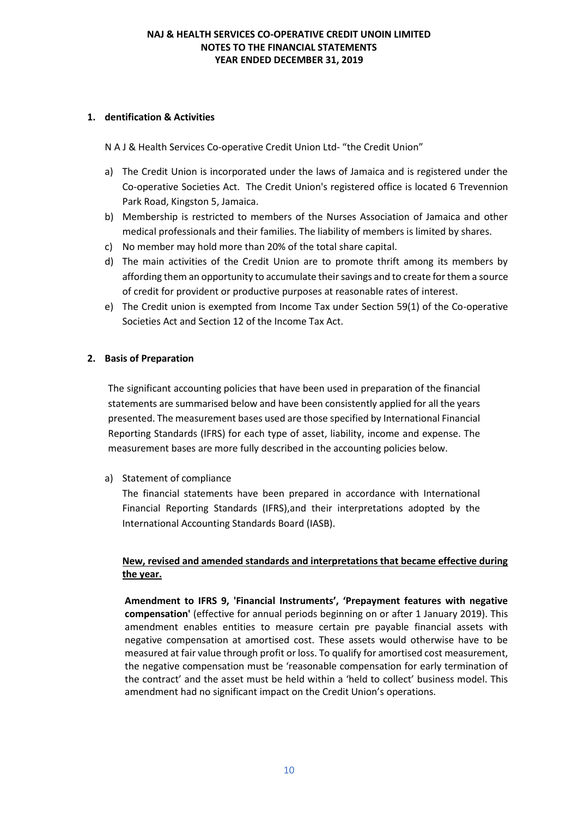### **1. dentification & Activities**

N A J & Health Services Co-operative Credit Union Ltd- "the Credit Union"

- a) The Credit Union is incorporated under the laws of Jamaica and is registered under the Co-operative Societies Act. The Credit Union's registered office is located 6 Trevennion Park Road, Kingston 5, Jamaica.
- b) Membership is restricted to members of the Nurses Association of Jamaica and other medical professionals and their families. The liability of members is limited by shares.
- c) No member may hold more than 20% of the total share capital.
- d) The main activities of the Credit Union are to promote thrift among its members by affording them an opportunity to accumulate their savings and to create for them a source of credit for provident or productive purposes at reasonable rates of interest.
- e) The Credit union is exempted from Income Tax under Section 59(1) of the Co-operative Societies Act and Section 12 of the Income Tax Act.

#### **2. Basis of Preparation**

The significant accounting policies that have been used in preparation of the financial statements are summarised below and have been consistently applied for all the years presented. The measurement bases used are those specified by International Financial Reporting Standards (IFRS) for each type of asset, liability, income and expense. The measurement bases are more fully described in the accounting policies below.

a) Statement of compliance

The financial statements have been prepared in accordance with International Financial Reporting Standards (IFRS),and their interpretations adopted by the International Accounting Standards Board (IASB).

### **New, revised and amended standards and interpretations that became effective during the year.**

**Amendment to IFRS 9, 'Financial Instruments', 'Prepayment features with negative compensation'** (effective for annual periods beginning on or after 1 January 2019). This amendment enables entities to measure certain pre payable financial assets with negative compensation at amortised cost. These assets would otherwise have to be measured at fair value through profit or loss. To qualify for amortised cost measurement, the negative compensation must be 'reasonable compensation for early termination of the contract' and the asset must be held within a 'held to collect' business model. This amendment had no significant impact on the Credit Union's operations.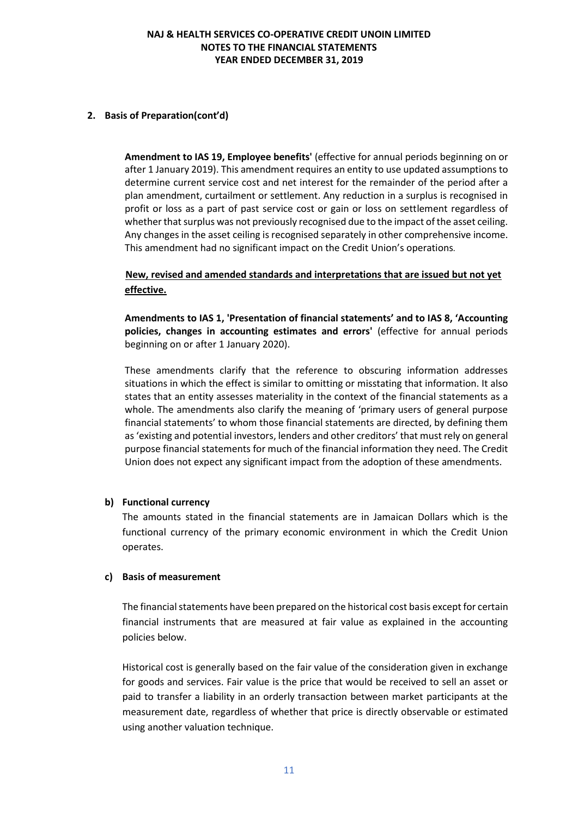#### **2. Basis of Preparation(cont'd)**

**Amendment to IAS 19, Employee benefits'** (effective for annual periods beginning on or after 1 January 2019). This amendment requires an entity to use updated assumptions to determine current service cost and net interest for the remainder of the period after a plan amendment, curtailment or settlement. Any reduction in a surplus is recognised in profit or loss as a part of past service cost or gain or loss on settlement regardless of whether that surplus was not previously recognised due to the impact of the asset ceiling. Any changes in the asset ceiling is recognised separately in other comprehensive income. This amendment had no significant impact on the Credit Union's operations.

# **New, revised and amended standards and interpretations that are issued but not yet effective.**

**Amendments to IAS 1, 'Presentation of financial statements' and to IAS 8, 'Accounting policies, changes in accounting estimates and errors'** (effective for annual periods beginning on or after 1 January 2020).

These amendments clarify that the reference to obscuring information addresses situations in which the effect is similar to omitting or misstating that information. It also states that an entity assesses materiality in the context of the financial statements as a whole. The amendments also clarify the meaning of 'primary users of general purpose financial statements' to whom those financial statements are directed, by defining them as 'existing and potential investors, lenders and other creditors' that must rely on general purpose financial statements for much of the financial information they need. The Credit Union does not expect any significant impact from the adoption of these amendments.

#### **b) Functional currency**

The amounts stated in the financial statements are in Jamaican Dollars which is the functional currency of the primary economic environment in which the Credit Union operates.

#### **c) Basis of measurement**

The financial statements have been prepared on the historical cost basis except for certain financial instruments that are measured at fair value as explained in the accounting policies below.

Historical cost is generally based on the fair value of the consideration given in exchange for goods and services. Fair value is the price that would be received to sell an asset or paid to transfer a liability in an orderly transaction between market participants at the measurement date, regardless of whether that price is directly observable or estimated using another valuation technique.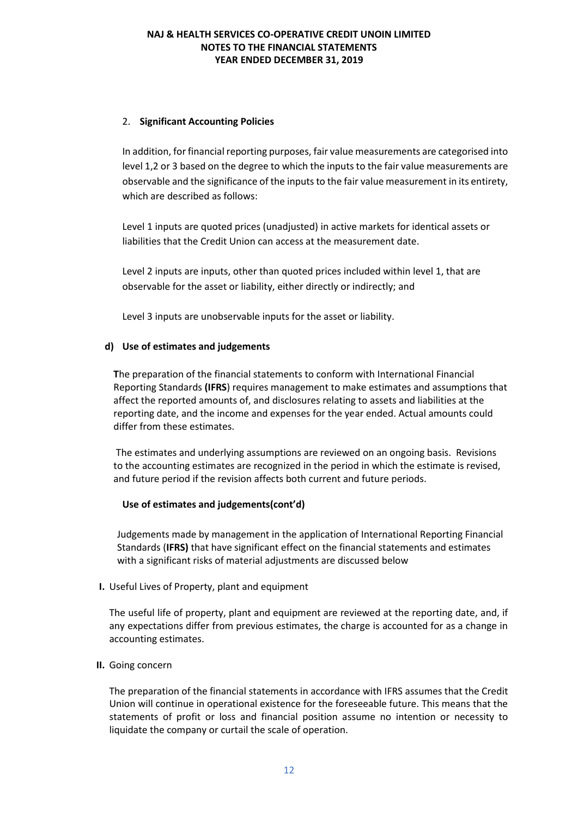### 2. **Significant Accounting Policies**

In addition, for financial reporting purposes, fair value measurements are categorised into level 1,2 or 3 based on the degree to which the inputs to the fair value measurements are observable and the significance of the inputs to the fair value measurement in its entirety, which are described as follows:

Level 1 inputs are quoted prices (unadjusted) in active markets for identical assets or liabilities that the Credit Union can access at the measurement date.

Level 2 inputs are inputs, other than quoted prices included within level 1, that are observable for the asset or liability, either directly or indirectly; and

Level 3 inputs are unobservable inputs for the asset or liability.

#### **d) Use of estimates and judgements**

**T**he preparation of the financial statements to conform with International Financial Reporting Standards **(IFRS**) requires management to make estimates and assumptions that affect the reported amounts of, and disclosures relating to assets and liabilities at the reporting date, and the income and expenses for the year ended. Actual amounts could differ from these estimates.

The estimates and underlying assumptions are reviewed on an ongoing basis. Revisions to the accounting estimates are recognized in the period in which the estimate is revised, and future period if the revision affects both current and future periods.

#### **Use of estimates and judgements(cont'd)**

Judgements made by management in the application of International Reporting Financial Standards (**IFRS)** that have significant effect on the financial statements and estimates with a significant risks of material adjustments are discussed below

#### **I.** Useful Lives of Property, plant and equipment

The useful life of property, plant and equipment are reviewed at the reporting date, and, if any expectations differ from previous estimates, the charge is accounted for as a change in accounting estimates.

#### **II.** Going concern

The preparation of the financial statements in accordance with IFRS assumes that the Credit Union will continue in operational existence for the foreseeable future. This means that the statements of profit or loss and financial position assume no intention or necessity to liquidate the company or curtail the scale of operation.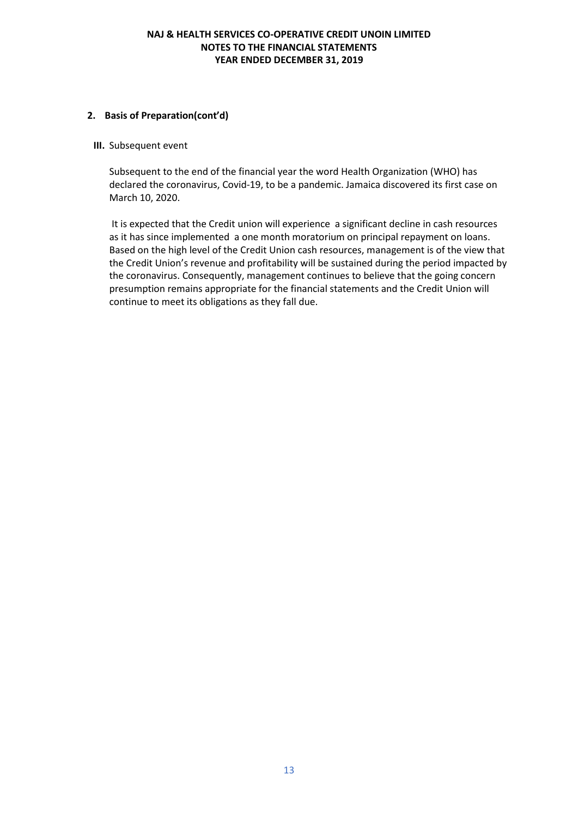#### **2. Basis of Preparation(cont'd)**

#### **III.** Subsequent event

Subsequent to the end of the financial year the word Health Organization (WHO) has declared the coronavirus, Covid-19, to be a pandemic. Jamaica discovered its first case on March 10, 2020.

It is expected that the Credit union will experience a significant decline in cash resources as it has since implemented a one month moratorium on principal repayment on loans. Based on the high level of the Credit Union cash resources, management is of the view that the Credit Union's revenue and profitability will be sustained during the period impacted by the coronavirus. Consequently, management continues to believe that the going concern presumption remains appropriate for the financial statements and the Credit Union will continue to meet its obligations as they fall due.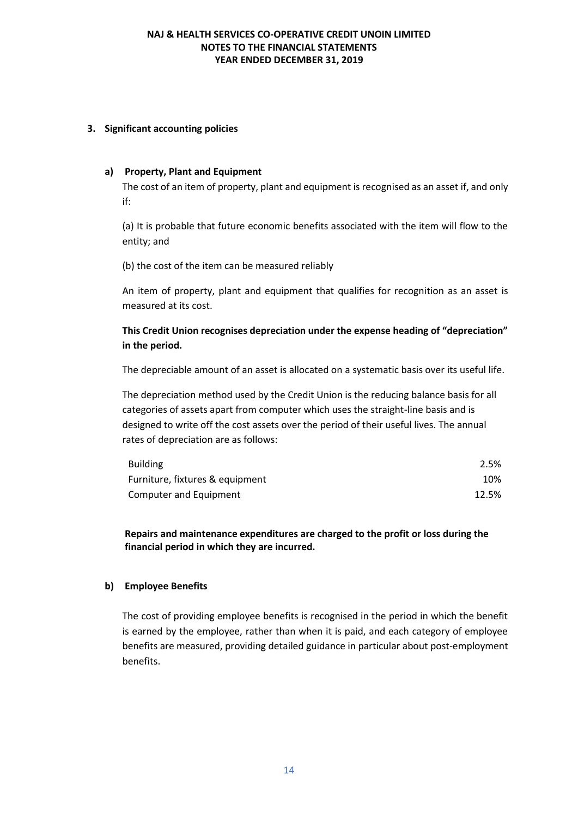#### **3. Significant accounting policies**

#### **a) Property, Plant and Equipment**

The cost of an item of property, plant and equipment is recognised as an asset if, and only if:

(a) It is probable that future economic benefits associated with the item will flow to the entity; and

(b) the cost of the item can be measured reliably

An item of property, plant and equipment that qualifies for recognition as an asset is measured at its cost.

# **This Credit Union recognises depreciation under the expense heading of "depreciation" in the period.**

The depreciable amount of an asset is allocated on a systematic basis over its useful life.

The depreciation method used by the Credit Union is the reducing balance basis for all categories of assets apart from computer which uses the straight-line basis and is designed to write off the cost assets over the period of their useful lives. The annual rates of depreciation are as follows:

| <b>Building</b>                 | 2.5%  |
|---------------------------------|-------|
| Furniture, fixtures & equipment | 10%   |
| Computer and Equipment          | 12.5% |

**Repairs and maintenance expenditures are charged to the profit or loss during the financial period in which they are incurred.**

### **b) Employee Benefits**

The cost of providing employee benefits is recognised in the period in which the benefit is earned by the employee, rather than when it is paid, and each category of employee benefits are measured, providing detailed guidance in particular about post-employment benefits.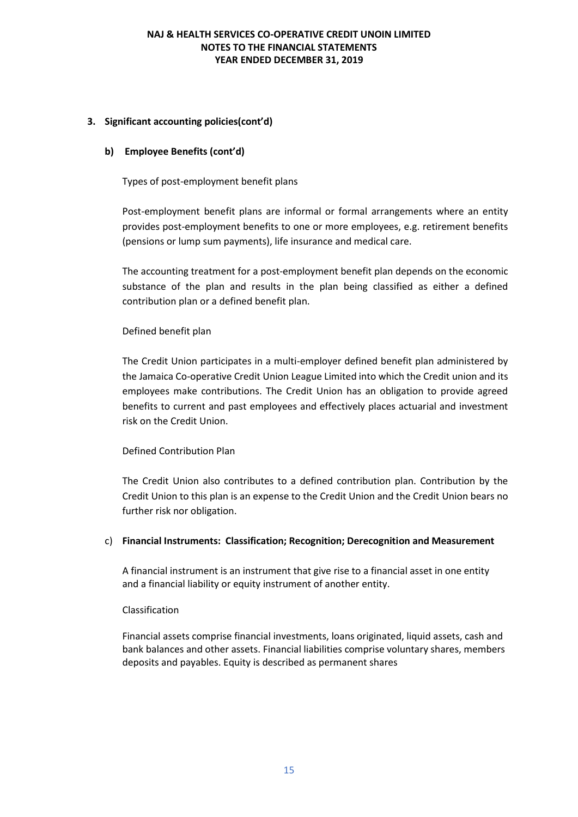## **3. Significant accounting policies(cont'd)**

### **b) Employee Benefits (cont'd)**

Types of post-employment benefit plans

Post-employment benefit plans are informal or formal arrangements where an entity provides post-employment benefits to one or more employees, e.g. retirement benefits (pensions or lump sum payments), life insurance and medical care.

The accounting treatment for a post-employment benefit plan depends on the economic substance of the plan and results in the plan being classified as either a defined contribution plan or a defined benefit plan.

#### Defined benefit plan

The Credit Union participates in a multi-employer defined benefit plan administered by the Jamaica Co-operative Credit Union League Limited into which the Credit union and its employees make contributions. The Credit Union has an obligation to provide agreed benefits to current and past employees and effectively places actuarial and investment risk on the Credit Union.

### Defined Contribution Plan

The Credit Union also contributes to a defined contribution plan. Contribution by the Credit Union to this plan is an expense to the Credit Union and the Credit Union bears no further risk nor obligation.

#### c) **Financial Instruments: Classification; Recognition; Derecognition and Measurement**

A financial instrument is an instrument that give rise to a financial asset in one entity and a financial liability or equity instrument of another entity.

#### Classification

Financial assets comprise financial investments, loans originated, liquid assets, cash and bank balances and other assets. Financial liabilities comprise voluntary shares, members deposits and payables. Equity is described as permanent shares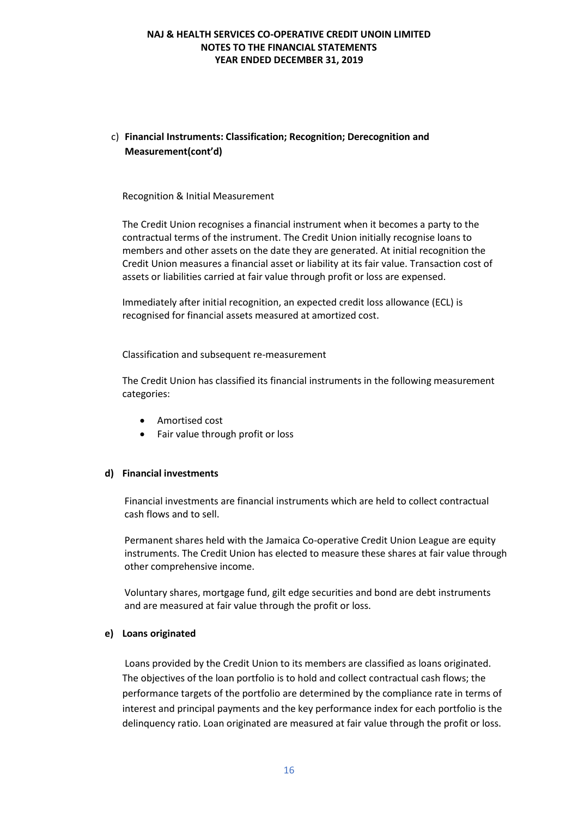# c) **Financial Instruments: Classification; Recognition; Derecognition and Measurement(cont'd)**

#### Recognition & Initial Measurement

The Credit Union recognises a financial instrument when it becomes a party to the contractual terms of the instrument. The Credit Union initially recognise loans to members and other assets on the date they are generated. At initial recognition the Credit Union measures a financial asset or liability at its fair value. Transaction cost of assets or liabilities carried at fair value through profit or loss are expensed.

Immediately after initial recognition, an expected credit loss allowance (ECL) is recognised for financial assets measured at amortized cost.

Classification and subsequent re-measurement

The Credit Union has classified its financial instruments in the following measurement categories:

- Amortised cost
- Fair value through profit or loss

#### **d) Financial investments**

Financial investments are financial instruments which are held to collect contractual cash flows and to sell.

Permanent shares held with the Jamaica Co-operative Credit Union League are equity instruments. The Credit Union has elected to measure these shares at fair value through other comprehensive income.

Voluntary shares, mortgage fund, gilt edge securities and bond are debt instruments and are measured at fair value through the profit or loss.

#### **e) Loans originated**

Loans provided by the Credit Union to its members are classified as loans originated. The objectives of the loan portfolio is to hold and collect contractual cash flows; the performance targets of the portfolio are determined by the compliance rate in terms of interest and principal payments and the key performance index for each portfolio is the delinquency ratio. Loan originated are measured at fair value through the profit or loss.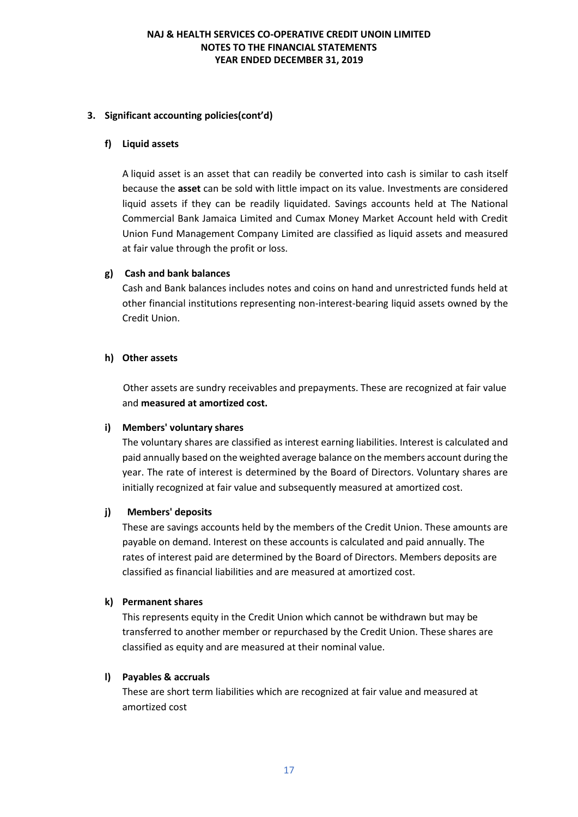### **3. Significant accounting policies(cont'd)**

#### **f) Liquid assets**

A liquid asset is an asset that can readily be converted into cash is similar to cash itself because the **asset** can be sold with little impact on its value. Investments are considered liquid assets if they can be readily liquidated. Savings accounts held at The National Commercial Bank Jamaica Limited and Cumax Money Market Account held with Credit Union Fund Management Company Limited are classified as liquid assets and measured at fair value through the profit or loss.

### **g) Cash and bank balances**

Cash and Bank balances includes notes and coins on hand and unrestricted funds held at other financial institutions representing non-interest-bearing liquid assets owned by the Credit Union.

#### **h) Other assets**

Other assets are sundry receivables and prepayments. These are recognized at fair value and **measured at amortized cost.**

#### **i) Members' voluntary shares**

The voluntary shares are classified as interest earning liabilities. Interest is calculated and paid annually based on the weighted average balance on the members account during the year. The rate of interest is determined by the Board of Directors. Voluntary shares are initially recognized at fair value and subsequently measured at amortized cost.

#### **j) Members' deposits**

These are savings accounts held by the members of the Credit Union. These amounts are payable on demand. Interest on these accounts is calculated and paid annually. The rates of interest paid are determined by the Board of Directors. Members deposits are classified as financial liabilities and are measured at amortized cost.

#### **k) Permanent shares**

This represents equity in the Credit Union which cannot be withdrawn but may be transferred to another member or repurchased by the Credit Union. These shares are classified as equity and are measured at their nominal value.

### **l) Payables & accruals**

These are short term liabilities which are recognized at fair value and measured at amortized cost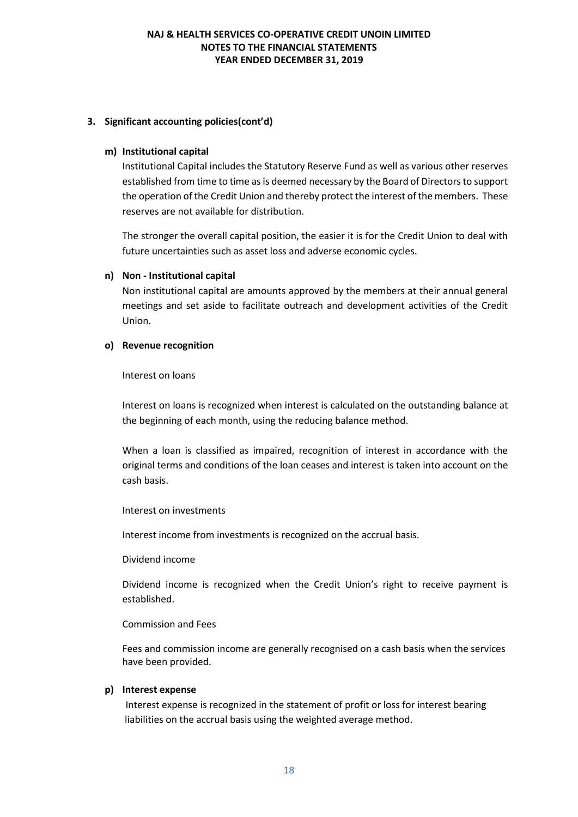### **3. Significant accounting policies(cont'd)**

#### **m) Institutional capital**

Institutional Capital includes the Statutory Reserve Fund as well as various other reserves established from time to time as is deemed necessary by the Board of Directors to support the operation of the Credit Union and thereby protect the interest of the members. These reserves are not available for distribution.

The stronger the overall capital position, the easier it is for the Credit Union to deal with future uncertainties such as asset loss and adverse economic cycles.

#### **n) Non - Institutional capital**

Non institutional capital are amounts approved by the members at their annual general meetings and set aside to facilitate outreach and development activities of the Credit Union.

#### **o) Revenue recognition**

Interest on loans

Interest on loans is recognized when interest is calculated on the outstanding balance at the beginning of each month, using the reducing balance method.

When a loan is classified as impaired, recognition of interest in accordance with the original terms and conditions of the loan ceases and interest is taken into account on the cash basis.

#### Interest on investments

Interest income from investments is recognized on the accrual basis.

Dividend income

Dividend income is recognized when the Credit Union's right to receive payment is established.

### Commission and Fees

Fees and commission income are generally recognised on a cash basis when the services have been provided.

### **p) Interest expense**

 Interest expense is recognized in the statement of profit or loss for interest bearing liabilities on the accrual basis using the weighted average method.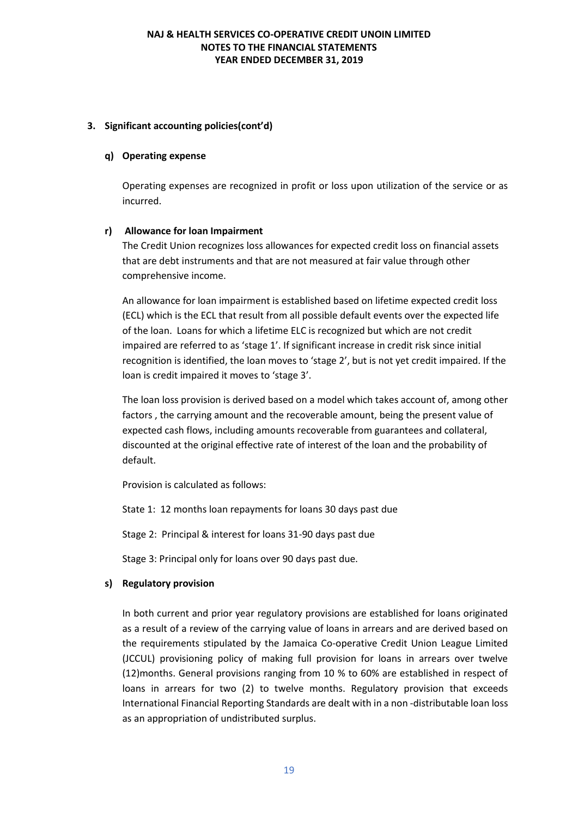#### **3. Significant accounting policies(cont'd)**

#### **q) Operating expense**

Operating expenses are recognized in profit or loss upon utilization of the service or as incurred.

#### **r) Allowance for loan Impairment**

The Credit Union recognizes loss allowances for expected credit loss on financial assets that are debt instruments and that are not measured at fair value through other comprehensive income.

An allowance for loan impairment is established based on lifetime expected credit loss (ECL) which is the ECL that result from all possible default events over the expected life of the loan. Loans for which a lifetime ELC is recognized but which are not credit impaired are referred to as 'stage 1'. If significant increase in credit risk since initial recognition is identified, the loan moves to 'stage 2', but is not yet credit impaired. If the loan is credit impaired it moves to 'stage 3'.

The loan loss provision is derived based on a model which takes account of, among other factors , the carrying amount and the recoverable amount, being the present value of expected cash flows, including amounts recoverable from guarantees and collateral, discounted at the original effective rate of interest of the loan and the probability of default.

Provision is calculated as follows:

State 1: 12 months loan repayments for loans 30 days past due

Stage 2: Principal & interest for loans 31-90 days past due

Stage 3: Principal only for loans over 90 days past due.

### **s) Regulatory provision**

In both current and prior year regulatory provisions are established for loans originated as a result of a review of the carrying value of loans in arrears and are derived based on the requirements stipulated by the Jamaica Co-operative Credit Union League Limited (JCCUL) provisioning policy of making full provision for loans in arrears over twelve (12)months. General provisions ranging from 10 % to 60% are established in respect of loans in arrears for two (2) to twelve months. Regulatory provision that exceeds International Financial Reporting Standards are dealt with in a non -distributable loan loss as an appropriation of undistributed surplus.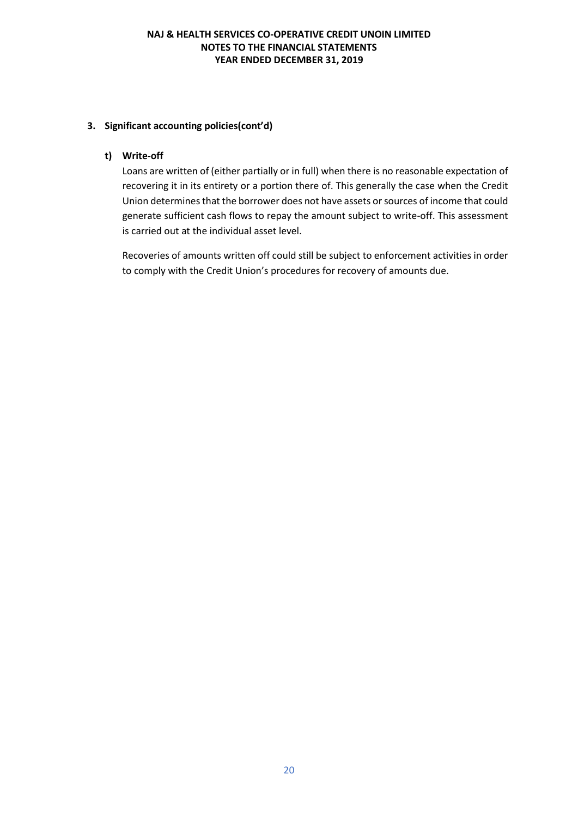### **3. Significant accounting policies(cont'd)**

### **t) Write-off**

Loans are written of (either partially or in full) when there is no reasonable expectation of recovering it in its entirety or a portion there of. This generally the case when the Credit Union determines that the borrower does not have assets or sources of income that could generate sufficient cash flows to repay the amount subject to write-off. This assessment is carried out at the individual asset level.

Recoveries of amounts written off could still be subject to enforcement activities in order to comply with the Credit Union's procedures for recovery of amounts due.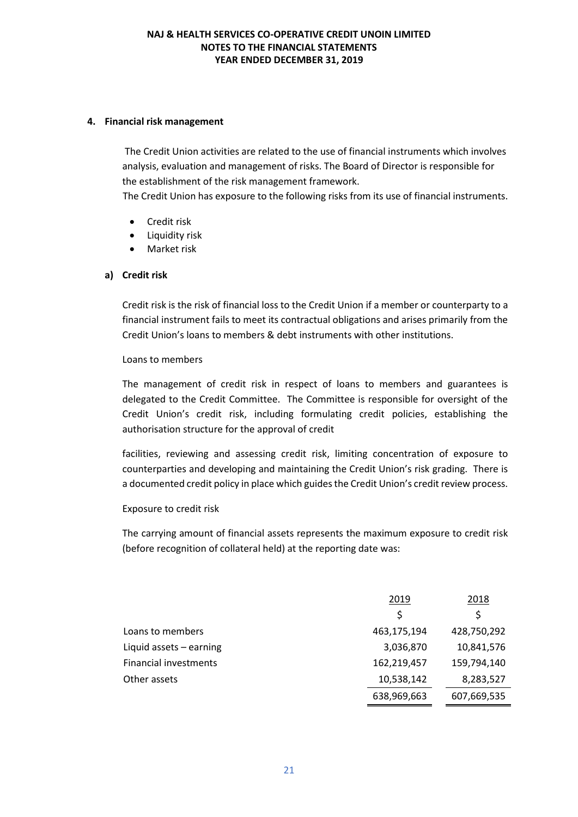#### **4. Financial risk management**

The Credit Union activities are related to the use of financial instruments which involves analysis, evaluation and management of risks. The Board of Director is responsible for the establishment of the risk management framework.

The Credit Union has exposure to the following risks from its use of financial instruments.

- Credit risk
- Liquidity risk
- Market risk

#### **a) Credit risk**

Credit risk is the risk of financial loss to the Credit Union if a member or counterparty to a financial instrument fails to meet its contractual obligations and arises primarily from the Credit Union's loans to members & debt instruments with other institutions.

#### Loans to members

The management of credit risk in respect of loans to members and guarantees is delegated to the Credit Committee. The Committee is responsible for oversight of the Credit Union's credit risk, including formulating credit policies, establishing the authorisation structure for the approval of credit

facilities, reviewing and assessing credit risk, limiting concentration of exposure to counterparties and developing and maintaining the Credit Union's risk grading. There is a documented credit policy in place which guides the Credit Union's credit review process.

### Exposure to credit risk

The carrying amount of financial assets represents the maximum exposure to credit risk (before recognition of collateral held) at the reporting date was:

|                              | 2019        | 2018        |
|------------------------------|-------------|-------------|
|                              | Ś           | S           |
| Loans to members             | 463,175,194 | 428,750,292 |
| Liquid assets $-$ earning    | 3,036,870   | 10,841,576  |
| <b>Financial investments</b> | 162,219,457 | 159,794,140 |
| Other assets                 | 10,538,142  | 8,283,527   |
|                              | 638,969,663 | 607,669,535 |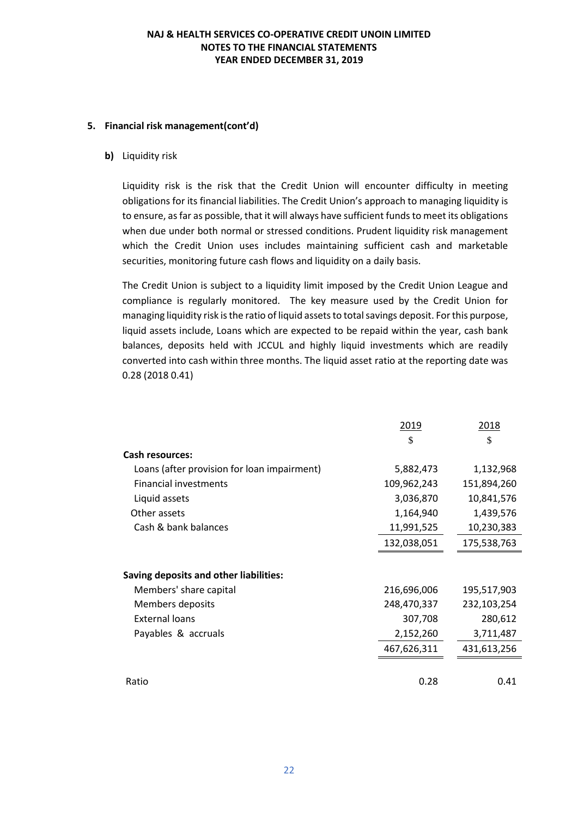#### **5. Financial risk management(cont'd)**

#### **b)** Liquidity risk

Liquidity risk is the risk that the Credit Union will encounter difficulty in meeting obligations for its financial liabilities. The Credit Union's approach to managing liquidity is to ensure, as far as possible, that it will always have sufficient funds to meet its obligations when due under both normal or stressed conditions. Prudent liquidity risk management which the Credit Union uses includes maintaining sufficient cash and marketable securities, monitoring future cash flows and liquidity on a daily basis.

The Credit Union is subject to a liquidity limit imposed by the Credit Union League and compliance is regularly monitored. The key measure used by the Credit Union for managing liquidity risk is the ratio of liquid assets to total savings deposit. For this purpose, liquid assets include, Loans which are expected to be repaid within the year, cash bank balances, deposits held with JCCUL and highly liquid investments which are readily converted into cash within three months. The liquid asset ratio at the reporting date was 0.28 (2018 0.41)

|                                             | 2019        | 2018        |
|---------------------------------------------|-------------|-------------|
|                                             | \$          | \$          |
| <b>Cash resources:</b>                      |             |             |
| Loans (after provision for loan impairment) | 5,882,473   | 1,132,968   |
| <b>Financial investments</b>                | 109,962,243 | 151,894,260 |
| Liquid assets                               | 3,036,870   | 10,841,576  |
| Other assets                                | 1,164,940   | 1,439,576   |
| Cash & bank balances                        | 11,991,525  | 10,230,383  |
|                                             | 132,038,051 | 175,538,763 |
|                                             |             |             |
| Saving deposits and other liabilities:      |             |             |
| Members' share capital                      | 216,696,006 | 195,517,903 |
| Members deposits                            | 248,470,337 | 232,103,254 |
| External loans                              | 307,708     | 280,612     |
| Payables & accruals                         | 2,152,260   | 3,711,487   |
|                                             | 467,626,311 | 431,613,256 |
|                                             |             |             |
| Ratio                                       | 0.28        | 0.41        |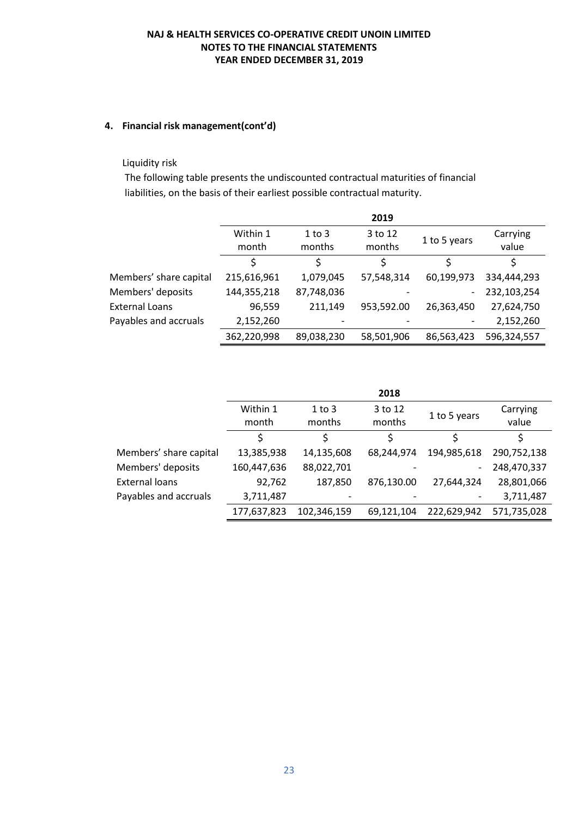### **4. Financial risk management(cont'd)**

#### Liquidity risk

The following table presents the undiscounted contractual maturities of financial liabilities, on the basis of their earliest possible contractual maturity.

|                        |                   |                      | 2019              |                          |                   |
|------------------------|-------------------|----------------------|-------------------|--------------------------|-------------------|
|                        | Within 1<br>month | $1$ to $3$<br>months | 3 to 12<br>months | 1 to 5 years             | Carrying<br>value |
|                        |                   | Ś                    | Ś                 | Ś                        |                   |
| Members' share capital | 215,616,961       | 1,079,045            | 57,548,314        | 60,199,973               | 334,444,293       |
| Members' deposits      | 144,355,218       | 87,748,036           |                   | $\overline{\phantom{0}}$ | 232,103,254       |
| <b>External Loans</b>  | 96,559            | 211,149              | 953,592.00        | 26,363,450               | 27,624,750        |
| Payables and accruals  | 2,152,260         |                      |                   |                          | 2,152,260         |
|                        | 362,220,998       | 89,038,230           | 58,501,906        | 86,563,423               | 596,324,557       |

|                        |                   |                      | 2018              |                          |                   |
|------------------------|-------------------|----------------------|-------------------|--------------------------|-------------------|
|                        | Within 1<br>month | $1$ to $3$<br>months | 3 to 12<br>months | 1 to 5 years             | Carrying<br>value |
|                        |                   | \$                   |                   |                          |                   |
| Members' share capital | 13,385,938        | 14,135,608           | 68,244,974        | 194,985,618              | 290,752,138       |
| Members' deposits      | 160,447,636       | 88,022,701           |                   | $\overline{\phantom{a}}$ | 248,470,337       |
| <b>External loans</b>  | 92,762            | 187,850              | 876,130.00        | 27,644,324               | 28,801,066        |
| Payables and accruals  | 3,711,487         |                      |                   |                          | 3,711,487         |
|                        | 177,637,823       | 102,346,159          | 69,121,104        | 222,629,942              | 571,735,028       |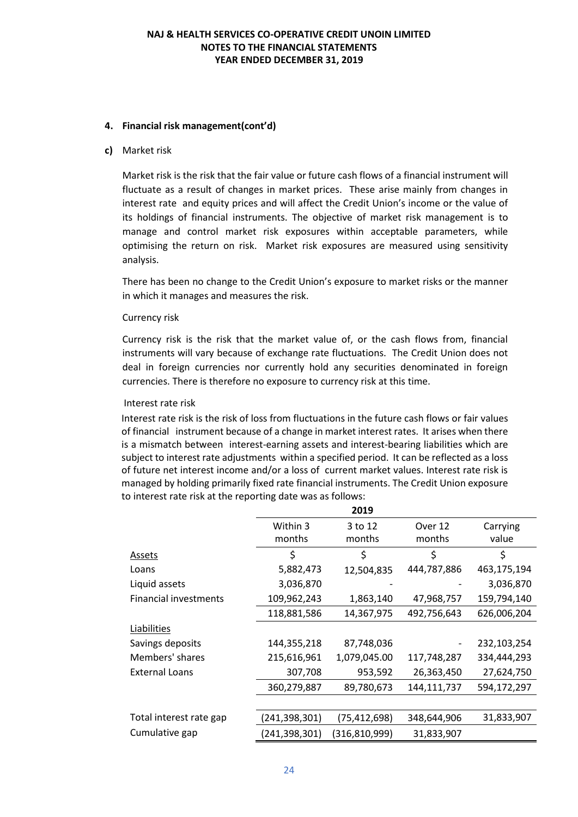#### **4. Financial risk management(cont'd)**

#### **c)** Market risk

Market risk is the risk that the fair value or future cash flows of a financial instrument will fluctuate as a result of changes in market prices. These arise mainly from changes in interest rate and equity prices and will affect the Credit Union's income or the value of its holdings of financial instruments. The objective of market risk management is to manage and control market risk exposures within acceptable parameters, while optimising the return on risk. Market risk exposures are measured using sensitivity analysis.

There has been no change to the Credit Union's exposure to market risks or the manner in which it manages and measures the risk.

#### Currency risk

Currency risk is the risk that the market value of, or the cash flows from, financial instruments will vary because of exchange rate fluctuations. The Credit Union does not deal in foreign currencies nor currently hold any securities denominated in foreign currencies. There is therefore no exposure to currency risk at this time.

#### Interest rate risk

Interest rate risk is the risk of loss from fluctuations in the future cash flows or fair values of financial instrument because of a change in market interest rates. It arises when there is a mismatch between interest-earning assets and interest-bearing liabilities which are subject to interest rate adjustments within a specified period. It can be reflected as a loss of future net interest income and/or a loss of current market values. Interest rate risk is managed by holding primarily fixed rate financial instruments. The Credit Union exposure to interest rate risk at the reporting date was as follows:

|                              |               | 2019            |             |             |
|------------------------------|---------------|-----------------|-------------|-------------|
|                              | Within 3      | 3 to 12         | Over 12     | Carrying    |
|                              | months        | months          | months      | value       |
| Assets                       | \$            | \$              | \$          | \$          |
| Loans                        | 5,882,473     | 12,504,835      | 444,787,886 | 463,175,194 |
| Liquid assets                | 3,036,870     |                 |             | 3,036,870   |
| <b>Financial investments</b> | 109,962,243   | 1,863,140       | 47,968,757  | 159,794,140 |
|                              | 118,881,586   | 14,367,975      | 492,756,643 | 626,006,204 |
| Liabilities                  |               |                 |             |             |
| Savings deposits             | 144,355,218   | 87,748,036      |             | 232,103,254 |
| Members' shares              | 215,616,961   | 1,079,045.00    | 117,748,287 | 334,444,293 |
| <b>External Loans</b>        | 307,708       | 953,592         | 26,363,450  | 27,624,750  |
|                              | 360,279,887   | 89,780,673      | 144,111,737 | 594,172,297 |
|                              |               |                 |             |             |
| Total interest rate gap      | (241,398,301) | (75,412,698)    | 348,644,906 | 31,833,907  |
| Cumulative gap               | (241,398,301) | (316, 810, 999) | 31,833,907  |             |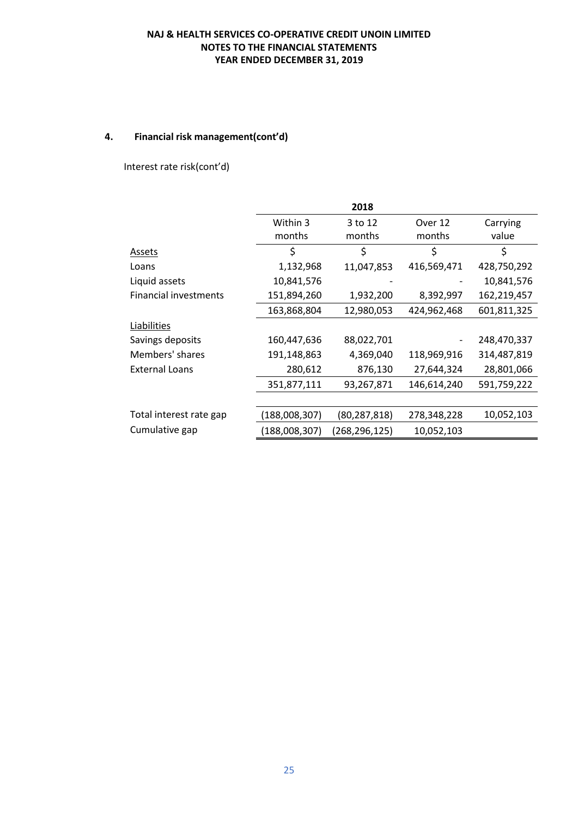# **4. Financial risk management(cont'd)**

Interest rate risk(cont'd)

|                              |               | 2018          |             |             |
|------------------------------|---------------|---------------|-------------|-------------|
|                              | Within 3      | 3 to 12       | Over 12     | Carrying    |
|                              | months        | months        | months      | value       |
| Assets                       | \$            | \$            | \$          | \$          |
| Loans                        | 1,132,968     | 11,047,853    | 416,569,471 | 428,750,292 |
| Liquid assets                | 10,841,576    |               |             | 10,841,576  |
| <b>Financial investments</b> | 151,894,260   | 1,932,200     | 8,392,997   | 162,219,457 |
|                              | 163,868,804   | 12,980,053    | 424,962,468 | 601,811,325 |
| Liabilities                  |               |               |             |             |
| Savings deposits             | 160,447,636   | 88,022,701    |             | 248,470,337 |
| Members' shares              | 191,148,863   | 4,369,040     | 118,969,916 | 314,487,819 |
| <b>External Loans</b>        | 280,612       | 876,130       | 27,644,324  | 28,801,066  |
|                              | 351,877,111   | 93,267,871    | 146,614,240 | 591,759,222 |
|                              |               |               |             |             |
| Total interest rate gap      | (188,008,307) | (80,287,818)  | 278,348,228 | 10,052,103  |
| Cumulative gap               | (188,008,307) | (268,296,125) | 10,052,103  |             |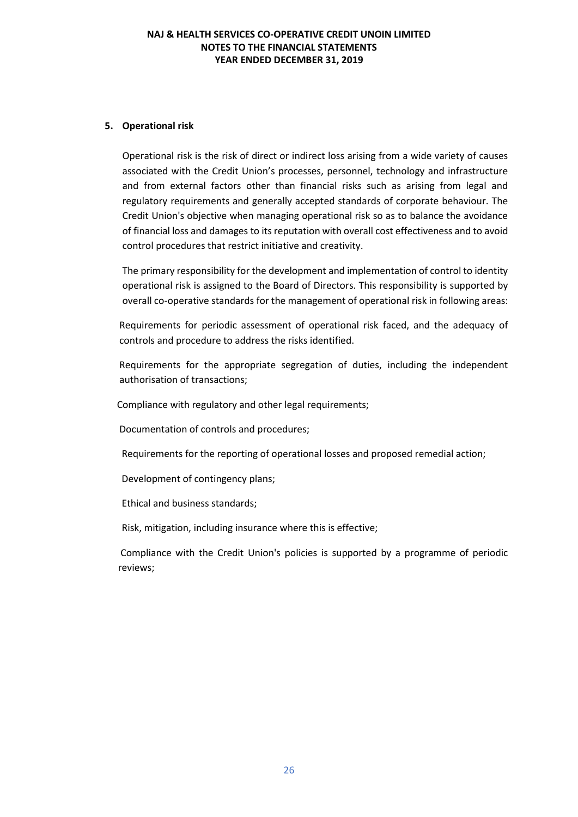#### **5. Operational risk**

Operational risk is the risk of direct or indirect loss arising from a wide variety of causes associated with the Credit Union's processes, personnel, technology and infrastructure and from external factors other than financial risks such as arising from legal and regulatory requirements and generally accepted standards of corporate behaviour. The Credit Union's objective when managing operational risk so as to balance the avoidance of financial loss and damages to its reputation with overall cost effectiveness and to avoid control procedures that restrict initiative and creativity.

The primary responsibility for the development and implementation of control to identity operational risk is assigned to the Board of Directors. This responsibility is supported by overall co-operative standards for the management of operational risk in following areas:

Requirements for periodic assessment of operational risk faced, and the adequacy of controls and procedure to address the risks identified.

Requirements for the appropriate segregation of duties, including the independent authorisation of transactions;

Compliance with regulatory and other legal requirements;

Documentation of controls and procedures;

Requirements for the reporting of operational losses and proposed remedial action;

Development of contingency plans;

Ethical and business standards;

Risk, mitigation, including insurance where this is effective;

Compliance with the Credit Union's policies is supported by a programme of periodic reviews;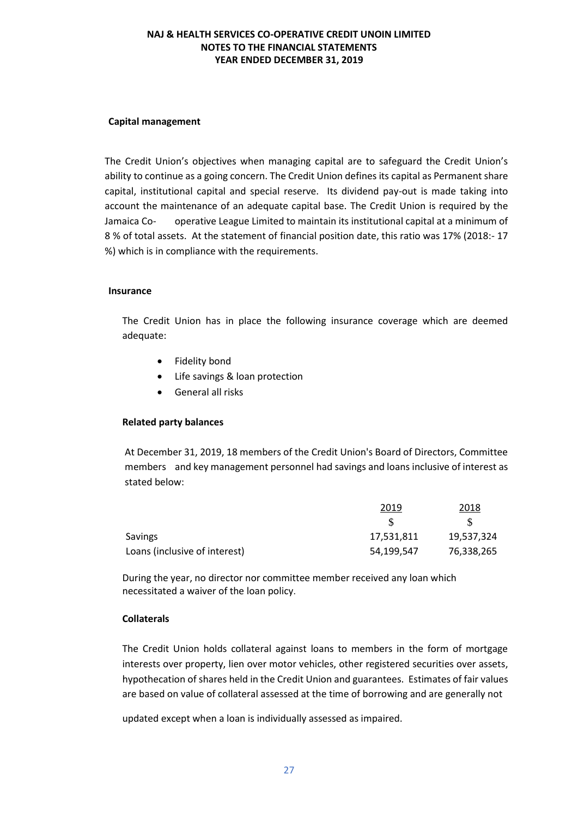#### **Capital management**

The Credit Union's objectives when managing capital are to safeguard the Credit Union's ability to continue as a going concern. The Credit Union defines its capital as Permanent share capital, institutional capital and special reserve. Its dividend pay-out is made taking into account the maintenance of an adequate capital base. The Credit Union is required by the Jamaica Co- operative League Limited to maintain its institutional capital at a minimum of 8 % of total assets. At the statement of financial position date, this ratio was 17% (2018:- 17 %) which is in compliance with the requirements.

#### **Insurance**

The Credit Union has in place the following insurance coverage which are deemed adequate:

- Fidelity bond
- Life savings & loan protection
- General all risks

#### **Related party balances**

At December 31, 2019, 18 members of the Credit Union's Board of Directors, Committee members and key management personnel had savings and loans inclusive of interest as stated below:

|                               | 2019       | 2018       |
|-------------------------------|------------|------------|
|                               |            |            |
| <b>Savings</b>                | 17,531,811 | 19,537,324 |
| Loans (inclusive of interest) | 54,199,547 | 76,338,265 |

During the year, no director nor committee member received any loan which necessitated a waiver of the loan policy.

#### **Collaterals**

The Credit Union holds collateral against loans to members in the form of mortgage interests over property, lien over motor vehicles, other registered securities over assets, hypothecation of shares held in the Credit Union and guarantees. Estimates of fair values are based on value of collateral assessed at the time of borrowing and are generally not

updated except when a loan is individually assessed as impaired.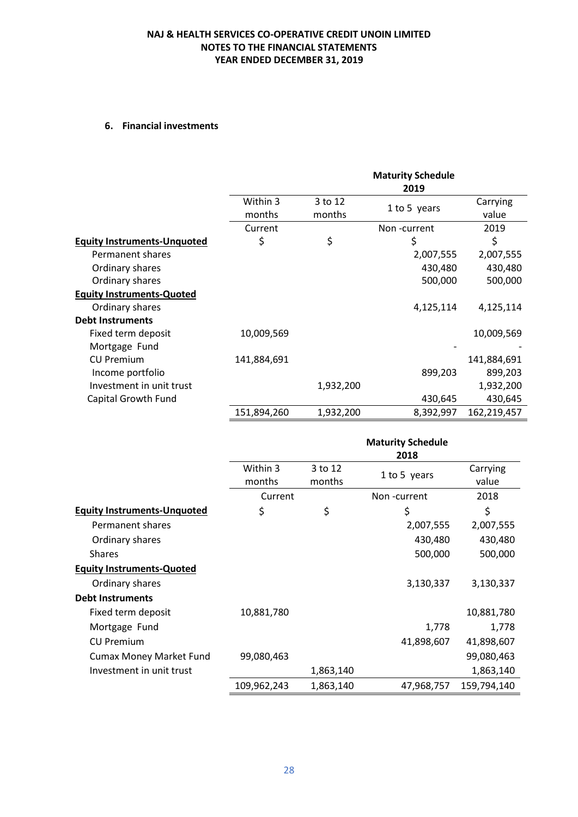# **6. Financial investments**

|                                    |                    |                   | <b>Maturity Schedule</b><br>2019 |                   |
|------------------------------------|--------------------|-------------------|----------------------------------|-------------------|
|                                    | Within 3<br>months | 3 to 12<br>months | 1 to 5 years                     | Carrying<br>value |
|                                    | Current            |                   | Non-current                      | 2019              |
| <b>Equity Instruments-Unquoted</b> | \$                 | \$                | \$                               | \$                |
| Permanent shares                   |                    |                   | 2,007,555                        | 2,007,555         |
| Ordinary shares                    |                    |                   | 430,480                          | 430,480           |
| Ordinary shares                    |                    |                   | 500,000                          | 500,000           |
| <b>Equity Instruments-Quoted</b>   |                    |                   |                                  |                   |
| Ordinary shares                    |                    |                   | 4,125,114                        | 4,125,114         |
| <b>Debt Instruments</b>            |                    |                   |                                  |                   |
| Fixed term deposit                 | 10,009,569         |                   |                                  | 10,009,569        |
| Mortgage Fund                      |                    |                   |                                  |                   |
| <b>CU Premium</b>                  | 141,884,691        |                   |                                  | 141,884,691       |
| Income portfolio                   |                    |                   | 899,203                          | 899,203           |
| Investment in unit trust           |                    | 1,932,200         |                                  | 1,932,200         |
| Capital Growth Fund                |                    |                   | 430,645                          | 430,645           |
|                                    | 151,894,260        | 1,932,200         | 8,392,997                        | 162,219,457       |

|                                    |                    |                   | <b>Maturity Schedule</b><br>2018 |                   |
|------------------------------------|--------------------|-------------------|----------------------------------|-------------------|
|                                    | Within 3<br>months | 3 to 12<br>months | 1 to 5 years                     | Carrying<br>value |
|                                    | Current            |                   | Non-current                      | 2018              |
| <b>Equity Instruments-Unquoted</b> | \$                 | \$                | \$                               | \$                |
| Permanent shares                   |                    |                   | 2,007,555                        | 2,007,555         |
| Ordinary shares                    |                    |                   | 430,480                          | 430,480           |
| <b>Shares</b>                      |                    |                   | 500,000                          | 500,000           |
| <b>Equity Instruments-Quoted</b>   |                    |                   |                                  |                   |
| Ordinary shares                    |                    |                   | 3,130,337                        | 3,130,337         |
| <b>Debt Instruments</b>            |                    |                   |                                  |                   |
| Fixed term deposit                 | 10,881,780         |                   |                                  | 10,881,780        |
| Mortgage Fund                      |                    |                   | 1,778                            | 1,778             |
| <b>CU Premium</b>                  |                    |                   | 41,898,607                       | 41,898,607        |
| <b>Cumax Money Market Fund</b>     | 99,080,463         |                   |                                  | 99,080,463        |
| Investment in unit trust           |                    | 1,863,140         |                                  | 1,863,140         |
|                                    | 109,962,243        | 1,863,140         | 47,968,757                       | 159,794,140       |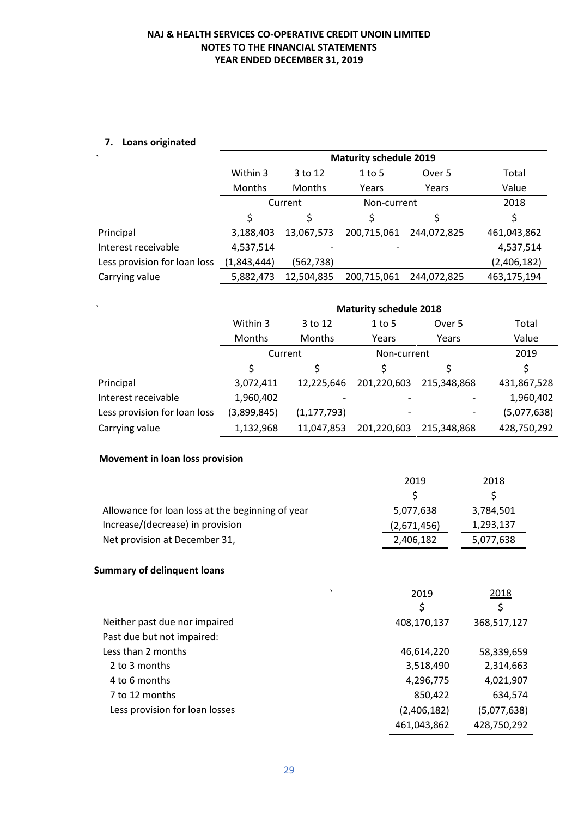# **7. Loans originated**

| Within 3    | 3 to 12       | $1$ to 5    | Over 5      | Total                                        |
|-------------|---------------|-------------|-------------|----------------------------------------------|
| Months      | <b>Months</b> | Years       | Years       | Value                                        |
| Current     |               |             | 2018        |                                              |
| \$          | S             |             | S           | Ś                                            |
| 3,188,403   | 13,067,573    | 200,715,061 | 244,072,825 | 461,043,862                                  |
| 4,537,514   |               |             |             | 4,537,514                                    |
| (1,843,444) | (562, 738)    |             |             | (2,406,182)                                  |
| 5,882,473   | 12,504,835    | 200,715,061 | 244,072,825 | 463,175,194                                  |
|             |               |             |             | <b>Maturity schedule 2019</b><br>Non-current |

| $\cdot$                      | <b>Maturity schedule 2018</b> |               |             |             |             |  |  |
|------------------------------|-------------------------------|---------------|-------------|-------------|-------------|--|--|
|                              | Within 3                      | 3 to 12       | $1$ to 5    | Over 5      | Total       |  |  |
|                              | <b>Months</b>                 | Months        | Years       | Years       | Value       |  |  |
|                              | Current                       |               | Non-current | 2019        |             |  |  |
|                              | Ś                             |               | \$          |             | \$          |  |  |
| Principal                    | 3,072,411                     | 12,225,646    | 201,220,603 | 215,348,868 | 431,867,528 |  |  |
| Interest receivable          | 1,960,402                     |               |             |             | 1,960,402   |  |  |
| Less provision for loan loss | (3,899,845)                   | (1, 177, 793) |             |             | (5,077,638) |  |  |
| Carrying value               | 1,132,968                     | 11,047,853    | 201,220,603 | 215,348,868 | 428,750,292 |  |  |

### **Movement in loan loss provision**

|                                                  | 2019        | <u> 2018 </u> |
|--------------------------------------------------|-------------|---------------|
|                                                  |             |               |
| Allowance for loan loss at the beginning of year | 5,077,638   | 3,784,501     |
| Increase/(decrease) in provision                 | (2,671,456) | 1,293,137     |
| Net provision at December 31,                    | 2,406,182   | 5,077,638     |

#### **Summary of delinquent loans**

|                                | $\cdot$ | 2019        | 2018        |
|--------------------------------|---------|-------------|-------------|
|                                |         | \$          | \$          |
| Neither past due nor impaired  |         | 408,170,137 | 368,517,127 |
| Past due but not impaired:     |         |             |             |
| Less than 2 months             |         | 46,614,220  | 58,339,659  |
| 2 to 3 months                  |         | 3,518,490   | 2,314,663   |
| 4 to 6 months                  |         | 4,296,775   | 4,021,907   |
| 7 to 12 months                 |         | 850,422     | 634,574     |
| Less provision for loan losses |         | (2,406,182) | (5,077,638) |
|                                |         | 461,043,862 | 428,750,292 |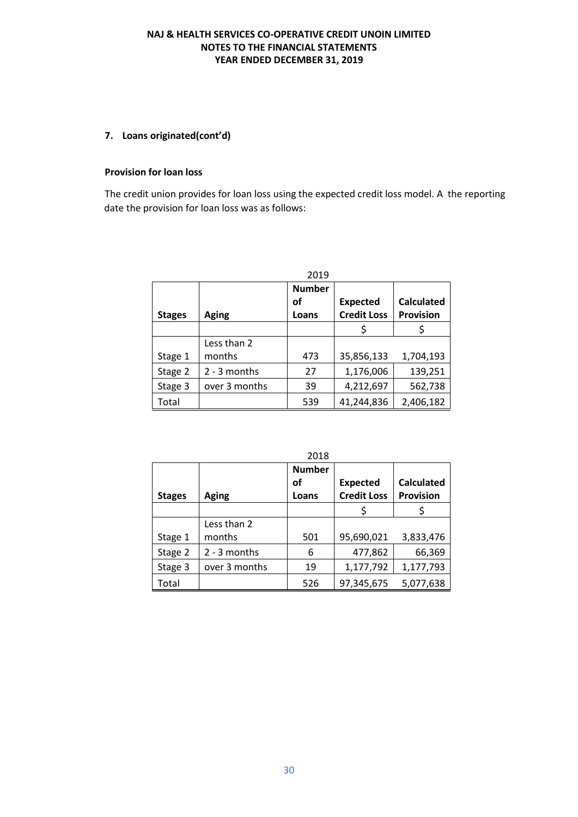#### **7. Loans originated(cont'd)**

#### **Provision for loan loss**

The credit union provides for loan loss using the expected credit loss model. A the reporting date the provision for loan loss was as follows:

| 2019          |               |               |                    |                   |  |
|---------------|---------------|---------------|--------------------|-------------------|--|
|               |               | <b>Number</b> |                    |                   |  |
|               |               | οf            | <b>Expected</b>    | <b>Calculated</b> |  |
| <b>Stages</b> | <b>Aging</b>  | Loans         | <b>Credit Loss</b> | <b>Provision</b>  |  |
|               |               |               |                    |                   |  |
|               | Less than 2   |               |                    |                   |  |
| Stage 1       | months        | 473           | 35,856,133         | 1,704,193         |  |
| Stage 2       | 2 - 3 months  | 27            | 1,176,006          | 139,251           |  |
| Stage 3       | over 3 months | 39            | 4,212,697          | 562,738           |  |
| Total         |               | 539           | 41,244,836         | 2,406,182         |  |

|               | 2010          |                              |                                       |                                       |  |  |  |
|---------------|---------------|------------------------------|---------------------------------------|---------------------------------------|--|--|--|
| <b>Stages</b> | <b>Aging</b>  | <b>Number</b><br>οf<br>Loans | <b>Expected</b><br><b>Credit Loss</b> | <b>Calculated</b><br><b>Provision</b> |  |  |  |
|               |               |                              |                                       |                                       |  |  |  |
|               | Less than 2   |                              |                                       |                                       |  |  |  |
| Stage 1       | months        | 501                          | 95,690,021                            | 3,833,476                             |  |  |  |
| Stage 2       | 2 - 3 months  | 6                            | 477,862                               | 66,369                                |  |  |  |
| Stage 3       | over 3 months | 19                           | 1,177,792                             | 1,177,793                             |  |  |  |
| Total         |               | 526                          | 97,345,675                            | 5,077,638                             |  |  |  |

 $2018$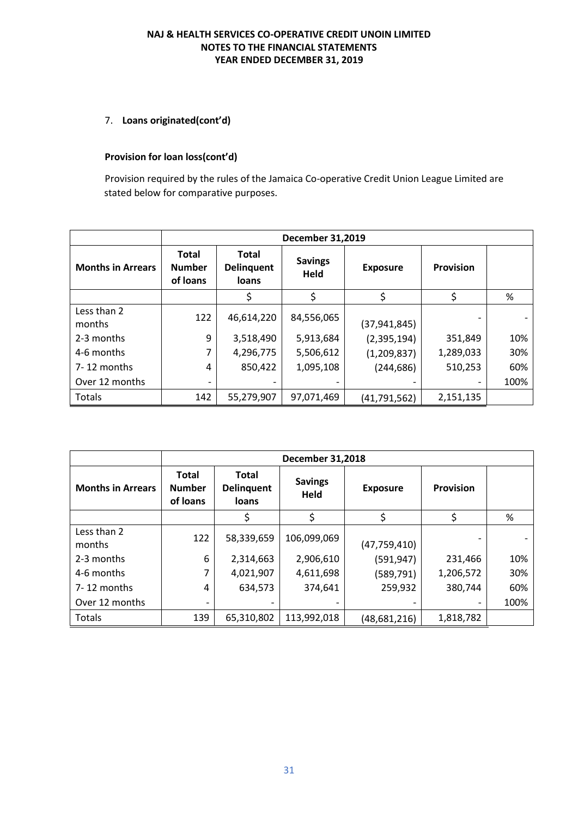### 7. **Loans originated(cont'd)**

#### **Provision for loan loss(cont'd)**

Provision required by the rules of the Jamaica Co-operative Credit Union League Limited are stated below for comparative purposes.

|                          | <b>December 31,2019</b>                   |                                            |                        |                 |                  |      |  |
|--------------------------|-------------------------------------------|--------------------------------------------|------------------------|-----------------|------------------|------|--|
| <b>Months in Arrears</b> | <b>Total</b><br><b>Number</b><br>of loans | <b>Total</b><br><b>Delinquent</b><br>loans | <b>Savings</b><br>Held | <b>Exposure</b> | <b>Provision</b> |      |  |
|                          |                                           | Ś                                          |                        | \$              | \$               | %    |  |
| Less than 2<br>months    | 122                                       | 46,614,220                                 | 84,556,065             | (37, 941, 845)  |                  |      |  |
| 2-3 months               | 9                                         | 3,518,490                                  | 5,913,684              | (2,395,194)     | 351,849          | 10%  |  |
| 4-6 months               | 7                                         | 4,296,775                                  | 5,506,612              | (1,209,837)     | 1,289,033        | 30%  |  |
| $7 - 12$ months          | 4                                         | 850,422                                    | 1,095,108              | (244, 686)      | 510,253          | 60%  |  |
| Over 12 months           |                                           |                                            |                        |                 |                  | 100% |  |
| Totals                   | 142                                       | 55,279,907                                 | 97,071,469             | (41,791,562)    | 2,151,135        |      |  |

|                          | <b>December 31,2018</b>                   |                                            |                        |                 |                  |      |  |
|--------------------------|-------------------------------------------|--------------------------------------------|------------------------|-----------------|------------------|------|--|
| <b>Months in Arrears</b> | <b>Total</b><br><b>Number</b><br>of loans | <b>Total</b><br><b>Delinquent</b><br>loans | <b>Savings</b><br>Held | <b>Exposure</b> | <b>Provision</b> |      |  |
|                          |                                           | \$                                         | \$                     | \$              | \$               | %    |  |
| Less than 2<br>months    | 122                                       | 58,339,659                                 | 106,099,069            | (47, 759, 410)  |                  |      |  |
| 2-3 months               | 6                                         | 2,314,663                                  | 2,906,610              | (591, 947)      | 231,466          | 10%  |  |
| 4-6 months               | 7                                         | 4,021,907                                  | 4,611,698              | (589, 791)      | 1,206,572        | 30%  |  |
| 7-12 months              | 4                                         | 634,573                                    | 374,641                | 259,932         | 380,744          | 60%  |  |
| Over 12 months           |                                           |                                            |                        |                 |                  | 100% |  |
| Totals                   | 139                                       | 65,310,802                                 | 113,992,018            | (48,681,216)    | 1,818,782        |      |  |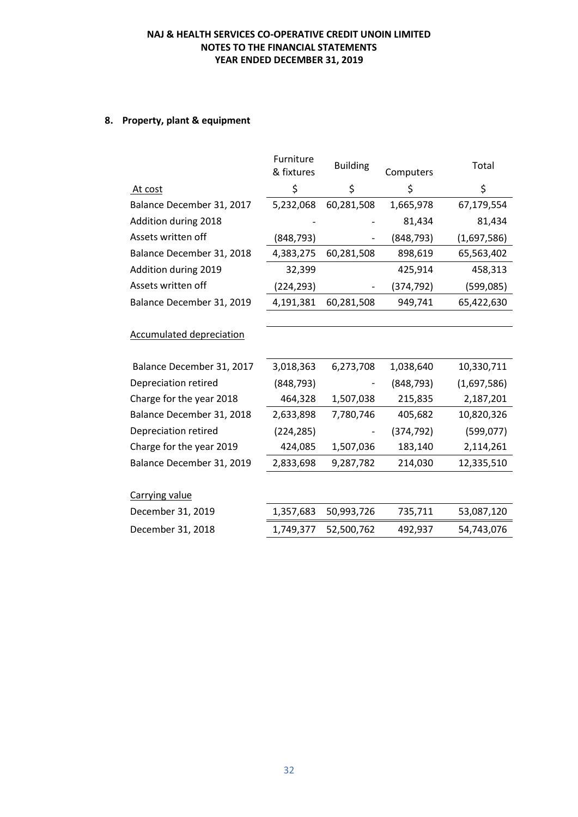# **8. Property, plant & equipment**

| Furniture<br>& fixtures | <b>Building</b> | Computers  | Total       |
|-------------------------|-----------------|------------|-------------|
| \$                      | \$              | \$         | \$          |
| 5,232,068               | 60,281,508      | 1,665,978  | 67,179,554  |
|                         |                 | 81,434     | 81,434      |
| (848, 793)              |                 | (848, 793) | (1,697,586) |
| 4,383,275               | 60,281,508      | 898,619    | 65,563,402  |
| 32,399                  |                 | 425,914    | 458,313     |
| (224,293)               |                 | (374, 792) | (599,085)   |
| 4,191,381               | 60,281,508      | 949,741    | 65,422,630  |
|                         |                 |            |             |
|                         |                 |            |             |
| 3,018,363               | 6,273,708       | 1,038,640  | 10,330,711  |
| (848, 793)              |                 | (848, 793) | (1,697,586) |
| 464,328                 | 1,507,038       | 215,835    | 2,187,201   |
| 2,633,898               | 7,780,746       | 405,682    | 10,820,326  |
| (224, 285)              |                 | (374, 792) | (599, 077)  |
| 424,085                 | 1,507,036       | 183,140    | 2,114,261   |
| 2,833,698               | 9,287,782       | 214,030    | 12,335,510  |
|                         |                 |            |             |
|                         |                 |            |             |
| 1,357,683               | 50,993,726      | 735,711    | 53,087,120  |
| 1,749,377               | 52,500,762      | 492,937    | 54,743,076  |
|                         |                 |            |             |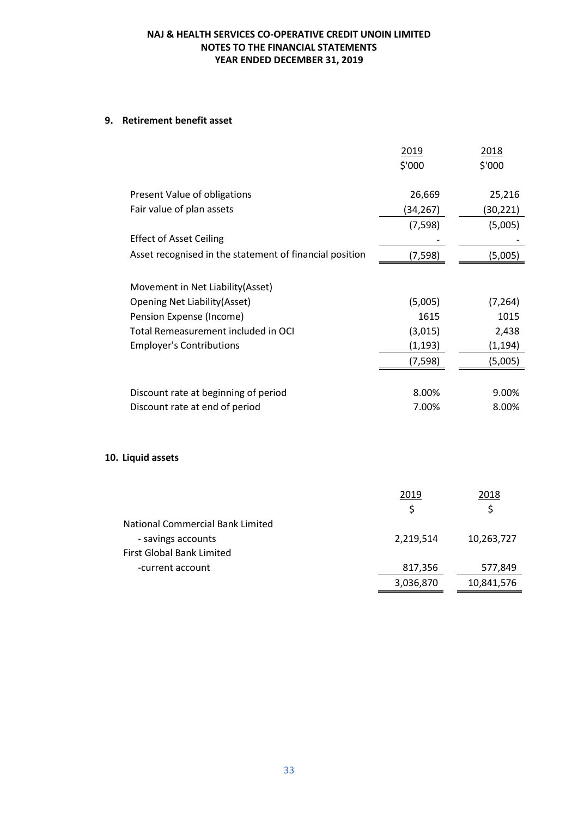#### **9. Retirement benefit asset**

**10.** 

|                                                         | 2019      | 2018       |
|---------------------------------------------------------|-----------|------------|
|                                                         | \$'000    | \$'000     |
|                                                         |           |            |
| Present Value of obligations                            | 26,669    | 25,216     |
| Fair value of plan assets                               | (34,267)  | (30,221)   |
|                                                         | (7, 598)  | (5,005)    |
| <b>Effect of Asset Ceiling</b>                          |           |            |
| Asset recognised in the statement of financial position | (7, 598)  | (5,005)    |
|                                                         |           |            |
| Movement in Net Liability(Asset)                        |           |            |
| <b>Opening Net Liability(Asset)</b>                     | (5,005)   | (7, 264)   |
| Pension Expense (Income)                                | 1615      | 1015       |
| Total Remeasurement included in OCI                     | (3,015)   | 2,438      |
| <b>Employer's Contributions</b>                         | (1, 193)  | (1, 194)   |
|                                                         | (7, 598)  | (5,005)    |
|                                                         |           |            |
| Discount rate at beginning of period                    | 8.00%     | 9.00%      |
| Discount rate at end of period                          | 7.00%     | 8.00%      |
|                                                         |           |            |
|                                                         |           |            |
| <b>Liquid assets</b>                                    |           |            |
|                                                         |           |            |
|                                                         |           |            |
|                                                         | 2019      | 2018       |
|                                                         | \$        | \$         |
| <b>National Commercial Bank Limited</b>                 |           |            |
| - savings accounts                                      | 2.219.514 | 10.263.727 |

| - savings accounts        | 2.219.514 | 10,263,727 |
|---------------------------|-----------|------------|
| First Global Bank Limited |           |            |
| -current account          | 817.356   | 577.849    |
|                           | 3,036,870 | 10,841,576 |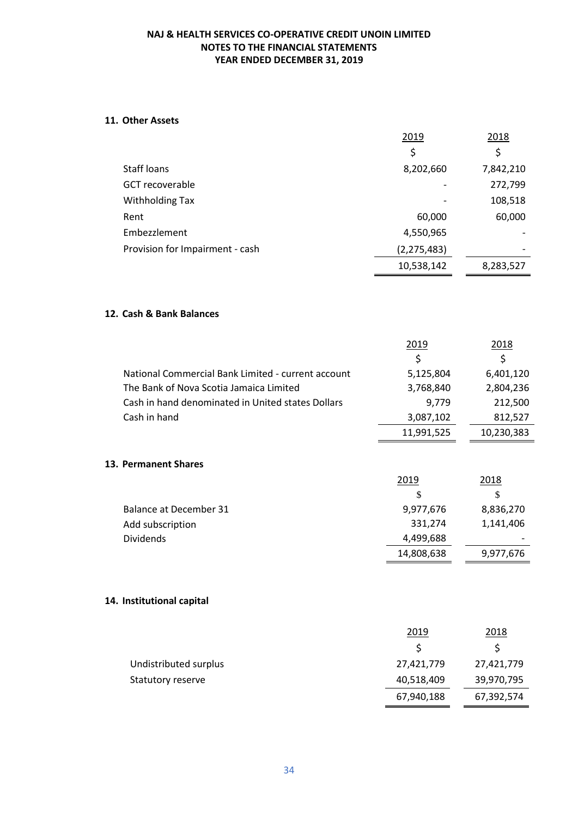#### **11. Other Assets**

|                                 | 2019          | 2018      |
|---------------------------------|---------------|-----------|
|                                 | \$            | \$        |
| Staff loans                     | 8,202,660     | 7,842,210 |
| <b>GCT</b> recoverable          |               | 272,799   |
| <b>Withholding Tax</b>          |               | 108,518   |
| Rent                            | 60,000        | 60,000    |
| Embezzlement                    | 4,550,965     |           |
| Provision for Impairment - cash | (2, 275, 483) |           |
|                                 | 10,538,142    | 8,283,527 |

#### **12. Cash & Bank Balances**

|                                                    | 2019       | 2018       |
|----------------------------------------------------|------------|------------|
|                                                    | \$         | \$         |
| National Commercial Bank Limited - current account | 5,125,804  | 6,401,120  |
| The Bank of Nova Scotia Jamaica Limited            | 3,768,840  | 2,804,236  |
| Cash in hand denominated in United states Dollars  | 9,779      | 212,500    |
| Cash in hand                                       | 3,087,102  | 812,527    |
|                                                    | 11,991,525 | 10,230,383 |
|                                                    |            |            |
| 13. Permanent Shares                               |            |            |
|                                                    | 2019       | 2018       |
|                                                    | \$         | \$         |
| Balance at December 31                             | 9,977,676  | 8,836,270  |
| Add subscription                                   | 331,274    | 1,141,406  |
| <b>Dividends</b>                                   | 4,499,688  |            |
|                                                    | 14,808,638 | 9,977,676  |
|                                                    |            |            |
| 14. Institutional capital                          |            |            |
|                                                    |            |            |
|                                                    | 2019       | 2018       |
|                                                    | \$         | \$         |
| Undistributed surplus                              | 27,421,779 | 27,421,779 |
| Statutory reserve                                  | 40,518,409 | 39,970,795 |
|                                                    | 67,940,188 | 67,392,574 |
|                                                    |            |            |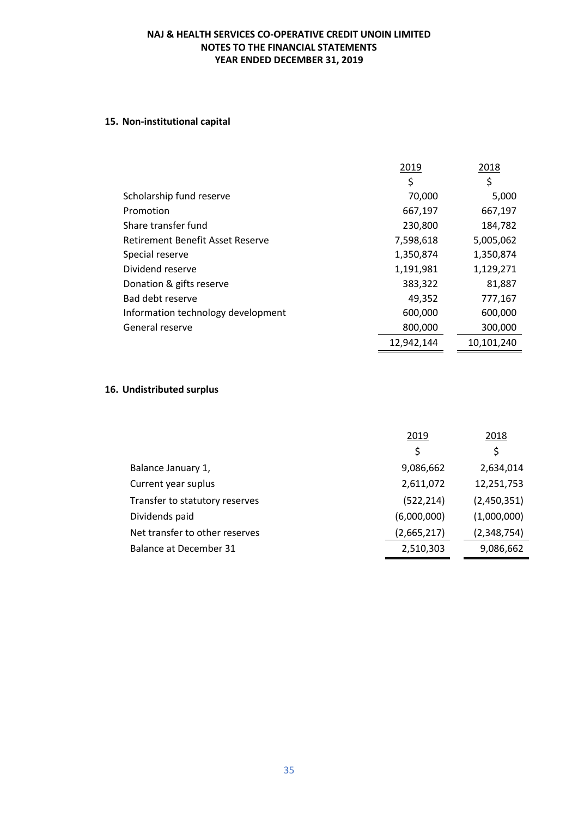# **15. Non-institutional capital**

|                                    | 2019       | 2018       |
|------------------------------------|------------|------------|
|                                    | \$         | \$         |
| Scholarship fund reserve           | 70,000     | 5,000      |
| Promotion                          | 667,197    | 667,197    |
| Share transfer fund                | 230,800    | 184,782    |
| Retirement Benefit Asset Reserve   | 7,598,618  | 5,005,062  |
| Special reserve                    | 1,350,874  | 1,350,874  |
| Dividend reserve                   | 1,191,981  | 1,129,271  |
| Donation & gifts reserve           | 383,322    | 81,887     |
| Bad debt reserve                   | 49,352     | 777,167    |
| Information technology development | 600,000    | 600,000    |
| General reserve                    | 800,000    | 300,000    |
|                                    | 12,942,144 | 10,101,240 |

# **16. Undistributed surplus**

|                                | 2019        | 2018        |
|--------------------------------|-------------|-------------|
|                                | \$          | \$          |
| Balance January 1,             | 9,086,662   | 2,634,014   |
| Current year suplus            | 2,611,072   | 12,251,753  |
| Transfer to statutory reserves | (522, 214)  | (2,450,351) |
| Dividends paid                 | (6,000,000) | (1,000,000) |
| Net transfer to other reserves | (2,665,217) | (2,348,754) |
| Balance at December 31         | 2,510,303   | 9,086,662   |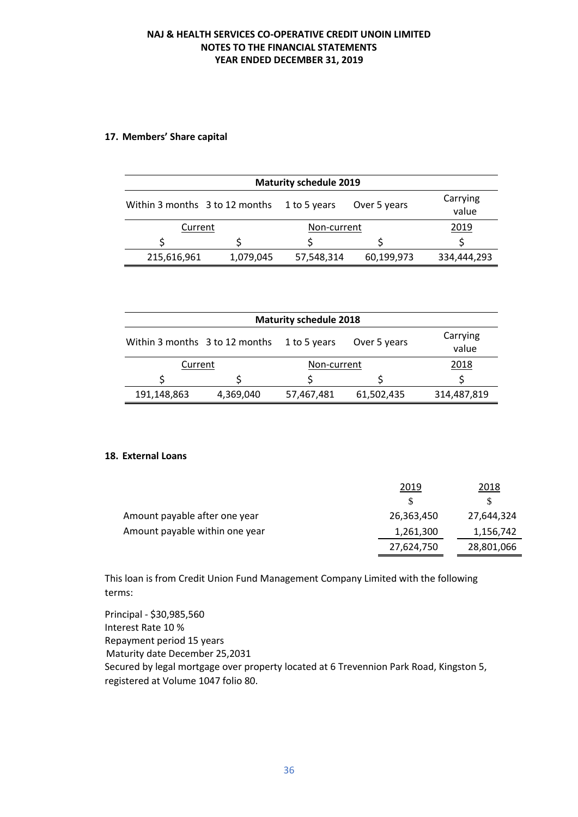#### **17. Members' Share capital**

| <b>Maturity schedule 2019</b>  |           |              |              |                   |
|--------------------------------|-----------|--------------|--------------|-------------------|
| Within 3 months 3 to 12 months |           | 1 to 5 years | Over 5 years | Carrying<br>value |
| Current<br>Non-current         |           | 2019         |              |                   |
|                                |           |              |              |                   |
| 215,616,961                    | 1,079,045 | 57,548,314   | 60,199,973   | 334,444,293       |

| <b>Maturity schedule 2018</b>  |           |              |              |                   |
|--------------------------------|-----------|--------------|--------------|-------------------|
| Within 3 months 3 to 12 months |           | 1 to 5 years | Over 5 years | Carrying<br>value |
| Non-current<br>Current         |           | 2018         |              |                   |
|                                |           |              |              |                   |
| 191,148,863                    | 4,369,040 | 57,467,481   | 61,502,435   | 314,487,819       |

#### **18. External Loans**

|                                | 2019       | 2018       |
|--------------------------------|------------|------------|
|                                | S.         |            |
| Amount payable after one year  | 26,363,450 | 27,644,324 |
| Amount payable within one year | 1,261,300  | 1,156,742  |
|                                | 27,624,750 | 28,801,066 |

This loan is from Credit Union Fund Management Company Limited with the following terms:

Principal - \$30,985,560 Interest Rate 10 % Repayment period 15 years Maturity date December 25,2031 Secured by legal mortgage over property located at 6 Trevennion Park Road, Kingston 5, registered at Volume 1047 folio 80.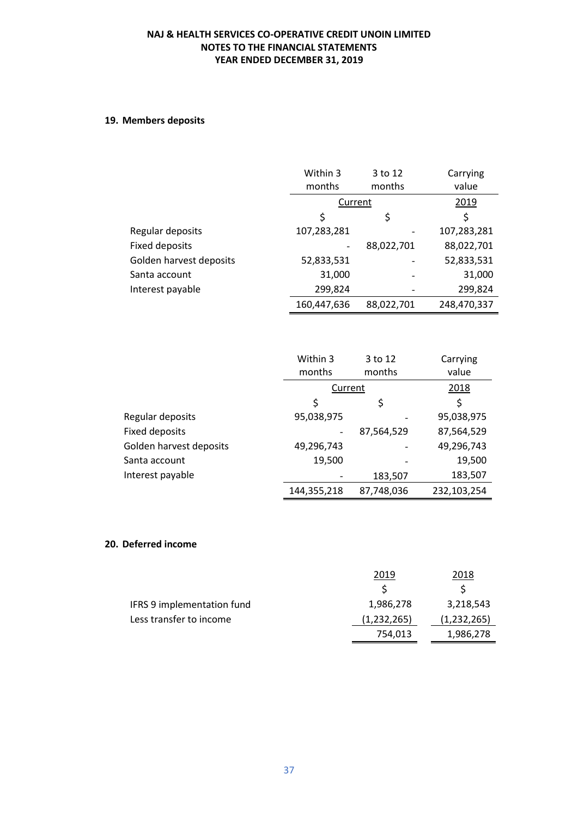# **19. Members deposits**

|                         | Within 3<br>months | 3 to 12<br>months | Carrying<br>value |
|-------------------------|--------------------|-------------------|-------------------|
|                         | Current            |                   | 2019              |
|                         | \$                 | \$                | \$                |
| Regular deposits        | 107,283,281        |                   | 107,283,281       |
| <b>Fixed deposits</b>   |                    | 88,022,701        | 88,022,701        |
| Golden harvest deposits | 52,833,531         |                   | 52,833,531        |
| Santa account           | 31,000             |                   | 31,000            |
| Interest payable        | 299,824            |                   | 299,824           |
|                         | 160,447,636        | 88.022.701        | 248,470,337       |

|                         | Within 3                     | 3 to 12    | Carrying    |
|-------------------------|------------------------------|------------|-------------|
|                         | months                       | months     | value       |
|                         | Current                      |            | 2018        |
|                         | \$                           | \$         | \$          |
| Regular deposits        | 95,038,975                   |            | 95,038,975  |
| <b>Fixed deposits</b>   | $\qquad \qquad \blacksquare$ | 87,564,529 | 87,564,529  |
| Golden harvest deposits | 49,296,743                   |            | 49,296,743  |
| Santa account           | 19,500                       |            | 19,500      |
| Interest payable        |                              | 183,507    | 183,507     |
|                         | 144,355,218                  | 87,748,036 | 232,103,254 |

### **20. Deferred income**

|                            | 2019        | 2018        |
|----------------------------|-------------|-------------|
|                            |             |             |
| IFRS 9 implementation fund | 1,986,278   | 3,218,543   |
| Less transfer to income    | (1,232,265) | (1,232,265) |
|                            | 754.013     | 1,986,278   |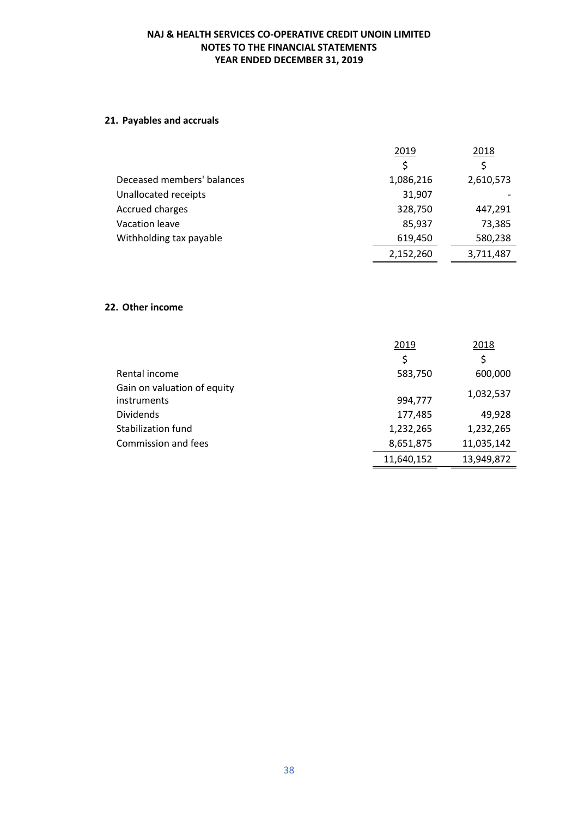# **21. Payables and accruals**

|                            | 2019      | 2018      |
|----------------------------|-----------|-----------|
|                            | Ś         | \$        |
| Deceased members' balances | 1,086,216 | 2,610,573 |
| Unallocated receipts       | 31,907    |           |
| Accrued charges            | 328,750   | 447,291   |
| Vacation leave             | 85,937    | 73,385    |
| Withholding tax payable    | 619,450   | 580,238   |
|                            | 2,152,260 | 3,711,487 |
|                            |           |           |

## **22. Other income**

|                             | 2019       | 2018       |
|-----------------------------|------------|------------|
|                             | \$         | \$         |
| Rental income               | 583,750    | 600,000    |
| Gain on valuation of equity |            | 1,032,537  |
| instruments                 | 994,777    |            |
| <b>Dividends</b>            | 177,485    | 49,928     |
| Stabilization fund          | 1,232,265  | 1,232,265  |
| Commission and fees         | 8,651,875  | 11,035,142 |
|                             | 11,640,152 | 13,949,872 |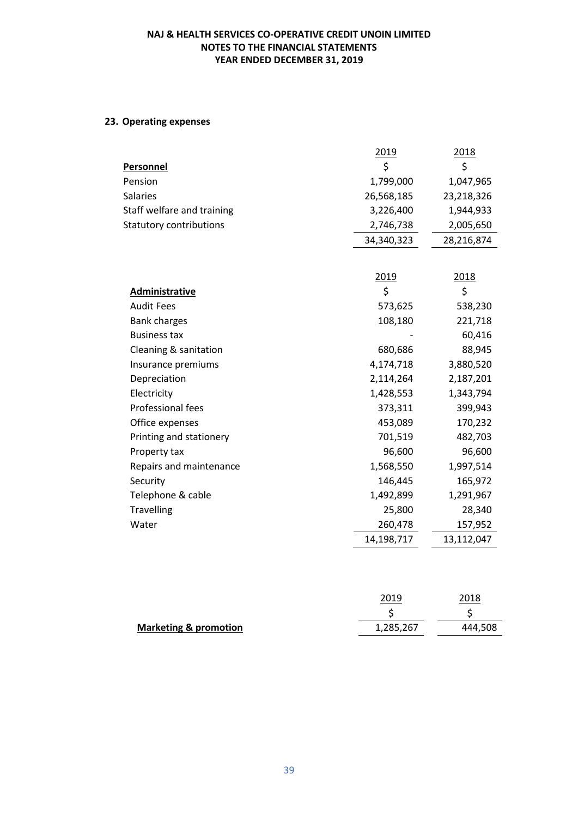# **23. Operating expenses**

|                                | 2019       | 2018       |
|--------------------------------|------------|------------|
| <b>Personnel</b>               | \$         | \$         |
| Pension                        | 1,799,000  | 1,047,965  |
| <b>Salaries</b>                | 26,568,185 | 23,218,326 |
| Staff welfare and training     | 3,226,400  | 1,944,933  |
| <b>Statutory contributions</b> | 2,746,738  | 2,005,650  |
|                                | 34,340,323 | 28,216,874 |
|                                |            |            |
|                                | 2019       | 2018       |
| Administrative                 | \$         | \$         |
| <b>Audit Fees</b>              | 573,625    | 538,230    |
| <b>Bank charges</b>            | 108,180    | 221,718    |
| <b>Business tax</b>            |            | 60,416     |
| Cleaning & sanitation          | 680,686    | 88,945     |
| Insurance premiums             | 4,174,718  | 3,880,520  |
| Depreciation                   | 2,114,264  | 2,187,201  |
| Electricity                    | 1,428,553  | 1,343,794  |
| <b>Professional fees</b>       | 373,311    | 399,943    |
| Office expenses                | 453,089    | 170,232    |
| Printing and stationery        | 701,519    | 482,703    |
| Property tax                   | 96,600     | 96,600     |
| Repairs and maintenance        | 1,568,550  | 1,997,514  |
| Security                       | 146,445    | 165,972    |
| Telephone & cable              | 1,492,899  | 1,291,967  |
| <b>Travelling</b>              | 25,800     | 28,340     |
| Water                          | 260,478    | 157,952    |
|                                | 14,198,717 | 13,112,047 |
|                                |            |            |

|                                  | 2019      | 2018    |
|----------------------------------|-----------|---------|
|                                  |           |         |
| <b>Marketing &amp; promotion</b> | 1,285,267 | 444,508 |